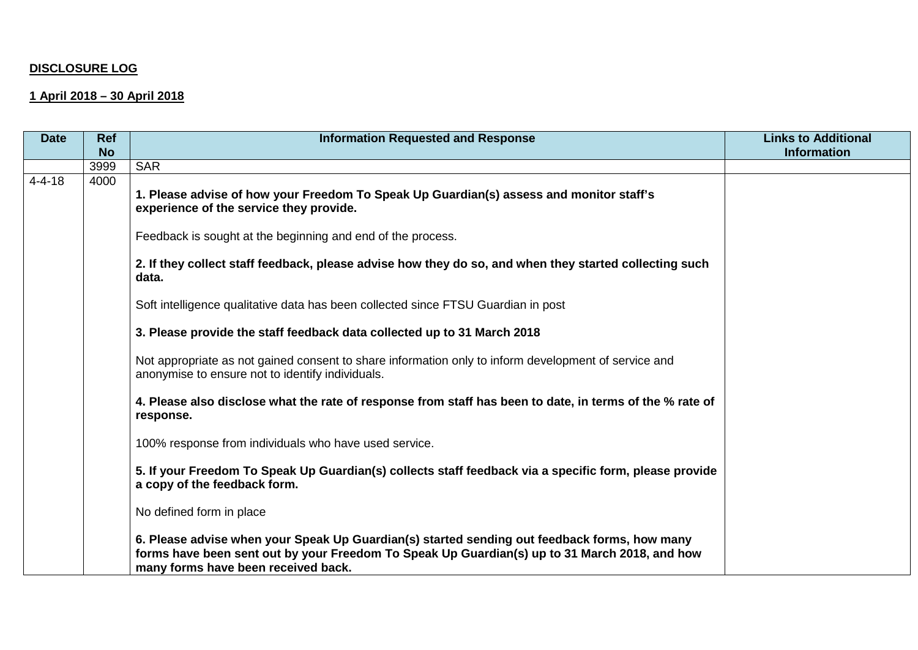## **DISCLOSURE LOG**

## **1 April 2018 – 30 April 2018**

| <b>Date</b>  | <b>Ref</b> | <b>Information Requested and Response</b>                                                                                                                                                                                            | <b>Links to Additional</b> |
|--------------|------------|--------------------------------------------------------------------------------------------------------------------------------------------------------------------------------------------------------------------------------------|----------------------------|
|              | <b>No</b>  |                                                                                                                                                                                                                                      | <b>Information</b>         |
|              | 3999       | <b>SAR</b>                                                                                                                                                                                                                           |                            |
| $4 - 4 - 18$ | 4000       | 1. Please advise of how your Freedom To Speak Up Guardian(s) assess and monitor staff's<br>experience of the service they provide.                                                                                                   |                            |
|              |            | Feedback is sought at the beginning and end of the process.                                                                                                                                                                          |                            |
|              |            | 2. If they collect staff feedback, please advise how they do so, and when they started collecting such<br>data.                                                                                                                      |                            |
|              |            | Soft intelligence qualitative data has been collected since FTSU Guardian in post                                                                                                                                                    |                            |
|              |            | 3. Please provide the staff feedback data collected up to 31 March 2018                                                                                                                                                              |                            |
|              |            | Not appropriate as not gained consent to share information only to inform development of service and<br>anonymise to ensure not to identify individuals.                                                                             |                            |
|              |            | 4. Please also disclose what the rate of response from staff has been to date, in terms of the % rate of<br>response.                                                                                                                |                            |
|              |            | 100% response from individuals who have used service.                                                                                                                                                                                |                            |
|              |            | 5. If your Freedom To Speak Up Guardian(s) collects staff feedback via a specific form, please provide<br>a copy of the feedback form.                                                                                               |                            |
|              |            | No defined form in place                                                                                                                                                                                                             |                            |
|              |            | 6. Please advise when your Speak Up Guardian(s) started sending out feedback forms, how many<br>forms have been sent out by your Freedom To Speak Up Guardian(s) up to 31 March 2018, and how<br>many forms have been received back. |                            |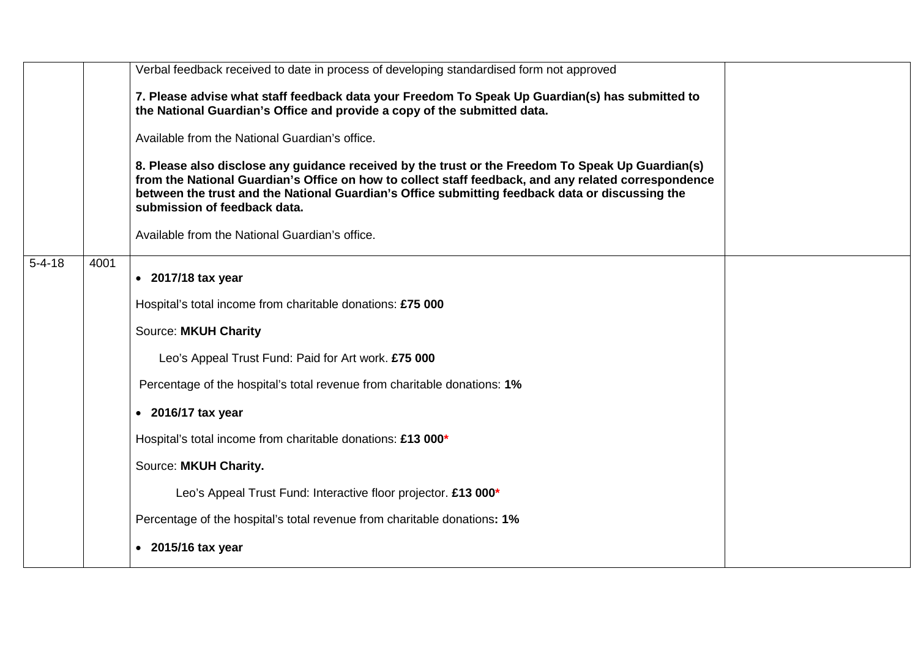|              |      | Verbal feedback received to date in process of developing standardised form not approved                                                                                                                                                                                                                                                     |  |
|--------------|------|----------------------------------------------------------------------------------------------------------------------------------------------------------------------------------------------------------------------------------------------------------------------------------------------------------------------------------------------|--|
|              |      | 7. Please advise what staff feedback data your Freedom To Speak Up Guardian(s) has submitted to<br>the National Guardian's Office and provide a copy of the submitted data.                                                                                                                                                                  |  |
|              |      | Available from the National Guardian's office.                                                                                                                                                                                                                                                                                               |  |
|              |      | 8. Please also disclose any guidance received by the trust or the Freedom To Speak Up Guardian(s)<br>from the National Guardian's Office on how to collect staff feedback, and any related correspondence<br>between the trust and the National Guardian's Office submitting feedback data or discussing the<br>submission of feedback data. |  |
|              |      | Available from the National Guardian's office.                                                                                                                                                                                                                                                                                               |  |
| $5 - 4 - 18$ | 4001 | $\bullet$ 2017/18 tax year                                                                                                                                                                                                                                                                                                                   |  |
|              |      | Hospital's total income from charitable donations: £75 000                                                                                                                                                                                                                                                                                   |  |
|              |      | <b>Source: MKUH Charity</b>                                                                                                                                                                                                                                                                                                                  |  |
|              |      | Leo's Appeal Trust Fund: Paid for Art work. £75 000                                                                                                                                                                                                                                                                                          |  |
|              |      | Percentage of the hospital's total revenue from charitable donations: 1%                                                                                                                                                                                                                                                                     |  |
|              |      | $\bullet$ 2016/17 tax year                                                                                                                                                                                                                                                                                                                   |  |
|              |      | Hospital's total income from charitable donations: £13 000*                                                                                                                                                                                                                                                                                  |  |
|              |      | Source: MKUH Charity.                                                                                                                                                                                                                                                                                                                        |  |
|              |      | Leo's Appeal Trust Fund: Interactive floor projector. £13 000*                                                                                                                                                                                                                                                                               |  |
|              |      | Percentage of the hospital's total revenue from charitable donations: 1%                                                                                                                                                                                                                                                                     |  |
|              |      | $\bullet$ 2015/16 tax year                                                                                                                                                                                                                                                                                                                   |  |
|              |      |                                                                                                                                                                                                                                                                                                                                              |  |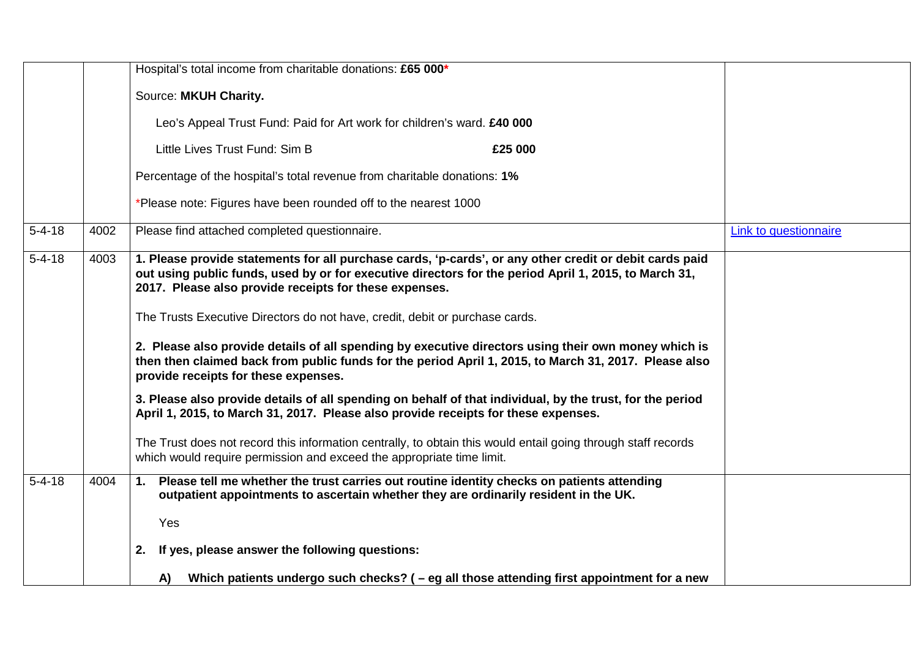|              |      | Hospital's total income from charitable donations: £65 000*                                                                                                                                                                                                                                                                                                                                                                                                        |                       |
|--------------|------|--------------------------------------------------------------------------------------------------------------------------------------------------------------------------------------------------------------------------------------------------------------------------------------------------------------------------------------------------------------------------------------------------------------------------------------------------------------------|-----------------------|
|              |      | Source: MKUH Charity.                                                                                                                                                                                                                                                                                                                                                                                                                                              |                       |
|              |      | Leo's Appeal Trust Fund: Paid for Art work for children's ward. £40 000                                                                                                                                                                                                                                                                                                                                                                                            |                       |
|              |      | Little Lives Trust Fund: Sim B<br>£25 000                                                                                                                                                                                                                                                                                                                                                                                                                          |                       |
|              |      | Percentage of the hospital's total revenue from charitable donations: 1%                                                                                                                                                                                                                                                                                                                                                                                           |                       |
|              |      | *Please note: Figures have been rounded off to the nearest 1000                                                                                                                                                                                                                                                                                                                                                                                                    |                       |
| $5 - 4 - 18$ | 4002 | Please find attached completed questionnaire.                                                                                                                                                                                                                                                                                                                                                                                                                      | Link to questionnaire |
| $5 - 4 - 18$ | 4003 | 1. Please provide statements for all purchase cards, 'p-cards', or any other credit or debit cards paid<br>out using public funds, used by or for executive directors for the period April 1, 2015, to March 31,<br>2017. Please also provide receipts for these expenses.<br>The Trusts Executive Directors do not have, credit, debit or purchase cards.<br>2. Please also provide details of all spending by executive directors using their own money which is |                       |
|              |      | then then claimed back from public funds for the period April 1, 2015, to March 31, 2017. Please also<br>provide receipts for these expenses.                                                                                                                                                                                                                                                                                                                      |                       |
|              |      | 3. Please also provide details of all spending on behalf of that individual, by the trust, for the period<br>April 1, 2015, to March 31, 2017. Please also provide receipts for these expenses.                                                                                                                                                                                                                                                                    |                       |
|              |      | The Trust does not record this information centrally, to obtain this would entail going through staff records<br>which would require permission and exceed the appropriate time limit.                                                                                                                                                                                                                                                                             |                       |
| $5 - 4 - 18$ | 4004 | 1. Please tell me whether the trust carries out routine identity checks on patients attending<br>outpatient appointments to ascertain whether they are ordinarily resident in the UK.                                                                                                                                                                                                                                                                              |                       |
|              |      | Yes                                                                                                                                                                                                                                                                                                                                                                                                                                                                |                       |
|              |      | 2. If yes, please answer the following questions:                                                                                                                                                                                                                                                                                                                                                                                                                  |                       |
|              |      | A) Which patients undergo such checks? ( – eg all those attending first appointment for a new                                                                                                                                                                                                                                                                                                                                                                      |                       |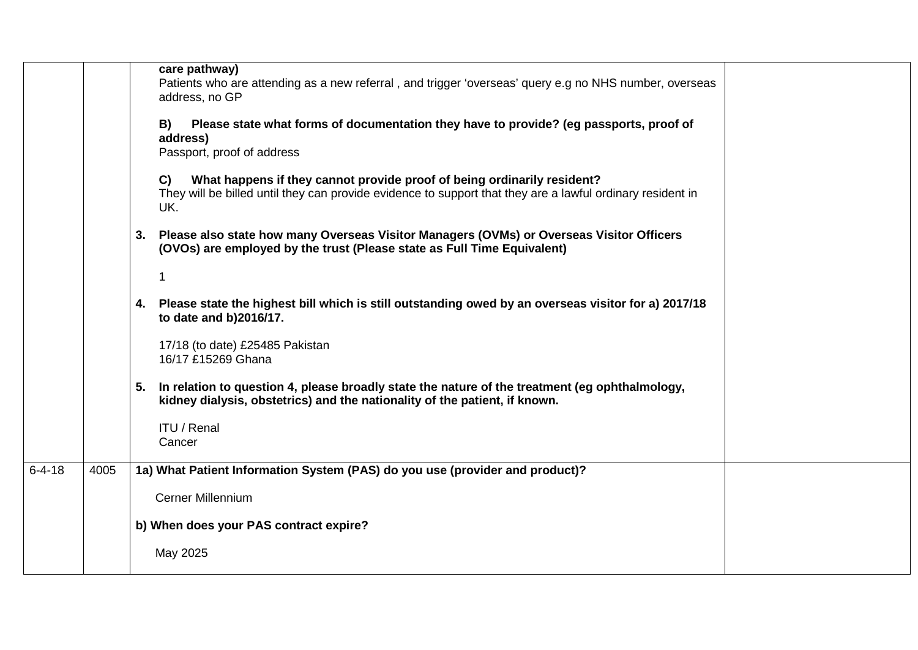|              |      | care pathway)<br>Patients who are attending as a new referral, and trigger 'overseas' query e.g no NHS number, overseas<br>address, no GP<br>Please state what forms of documentation they have to provide? (eg passports, proof of<br>B)<br>address)<br>Passport, proof of address<br>What happens if they cannot provide proof of being ordinarily resident?<br>C)<br>They will be billed until they can provide evidence to support that they are a lawful ordinary resident in<br>UK.<br>3. Please also state how many Overseas Visitor Managers (OVMs) or Overseas Visitor Officers<br>(OVOs) are employed by the trust (Please state as Full Time Equivalent)<br>1<br>4. Please state the highest bill which is still outstanding owed by an overseas visitor for a) 2017/18<br>to date and b)2016/17.<br>17/18 (to date) £25485 Pakistan<br>16/17 £15269 Ghana<br>5. In relation to question 4, please broadly state the nature of the treatment (eg ophthalmology,<br>kidney dialysis, obstetrics) and the nationality of the patient, if known.<br><b>ITU / Renal</b><br>Cancer |
|--------------|------|------------------------------------------------------------------------------------------------------------------------------------------------------------------------------------------------------------------------------------------------------------------------------------------------------------------------------------------------------------------------------------------------------------------------------------------------------------------------------------------------------------------------------------------------------------------------------------------------------------------------------------------------------------------------------------------------------------------------------------------------------------------------------------------------------------------------------------------------------------------------------------------------------------------------------------------------------------------------------------------------------------------------------------------------------------------------------------------|
| $6 - 4 - 18$ | 4005 | 1a) What Patient Information System (PAS) do you use (provider and product)?                                                                                                                                                                                                                                                                                                                                                                                                                                                                                                                                                                                                                                                                                                                                                                                                                                                                                                                                                                                                             |
|              |      | <b>Cerner Millennium</b>                                                                                                                                                                                                                                                                                                                                                                                                                                                                                                                                                                                                                                                                                                                                                                                                                                                                                                                                                                                                                                                                 |
|              |      | b) When does your PAS contract expire?                                                                                                                                                                                                                                                                                                                                                                                                                                                                                                                                                                                                                                                                                                                                                                                                                                                                                                                                                                                                                                                   |
|              |      | May 2025                                                                                                                                                                                                                                                                                                                                                                                                                                                                                                                                                                                                                                                                                                                                                                                                                                                                                                                                                                                                                                                                                 |
|              |      |                                                                                                                                                                                                                                                                                                                                                                                                                                                                                                                                                                                                                                                                                                                                                                                                                                                                                                                                                                                                                                                                                          |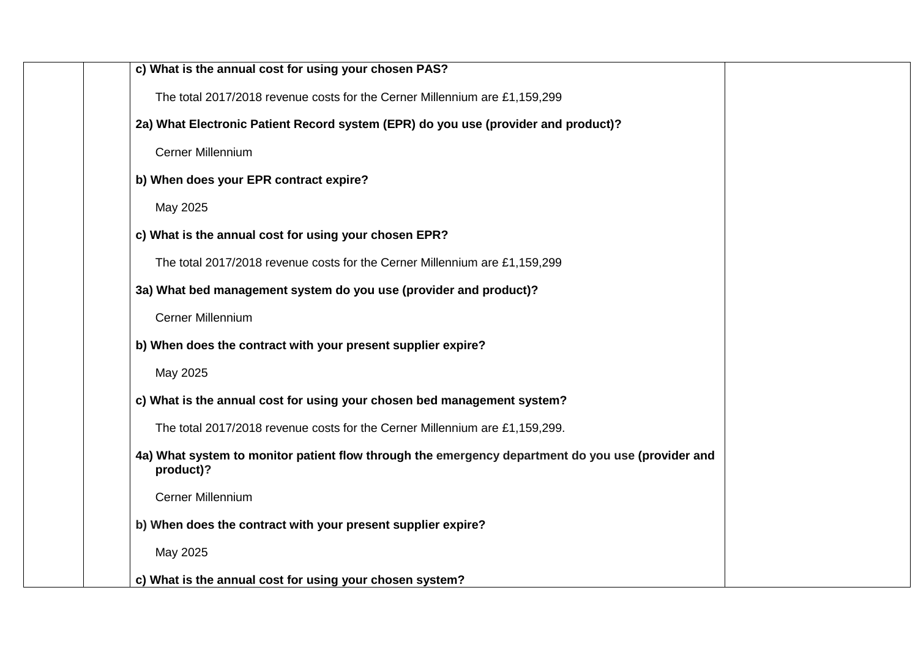| c) What is the annual cost for using your chosen PAS?                                                          |
|----------------------------------------------------------------------------------------------------------------|
| The total 2017/2018 revenue costs for the Cerner Millennium are £1,159,299                                     |
| 2a) What Electronic Patient Record system (EPR) do you use (provider and product)?                             |
| <b>Cerner Millennium</b>                                                                                       |
| b) When does your EPR contract expire?                                                                         |
| May 2025                                                                                                       |
| c) What is the annual cost for using your chosen EPR?                                                          |
| The total 2017/2018 revenue costs for the Cerner Millennium are £1,159,299                                     |
| 3a) What bed management system do you use (provider and product)?                                              |
| Cerner Millennium                                                                                              |
| b) When does the contract with your present supplier expire?                                                   |
| May 2025                                                                                                       |
| c) What is the annual cost for using your chosen bed management system?                                        |
| The total 2017/2018 revenue costs for the Cerner Millennium are £1,159,299.                                    |
| 4a) What system to monitor patient flow through the emergency department do you use (provider and<br>product)? |
| Cerner Millennium                                                                                              |
| b) When does the contract with your present supplier expire?                                                   |
| May 2025                                                                                                       |
| c) What is the annual cost for using your chosen system?                                                       |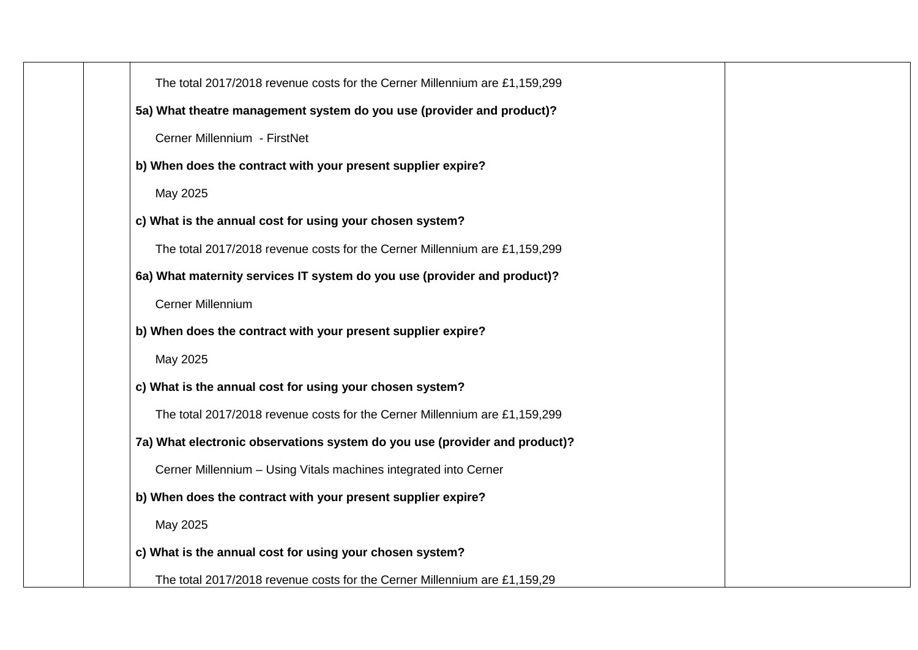| The total 2017/2018 revenue costs for the Cerner Millennium are £1,159,299 |
|----------------------------------------------------------------------------|
| 5a) What theatre management system do you use (provider and product)?      |
| Cerner Millennium - FirstNet                                               |
| b) When does the contract with your present supplier expire?               |
| May 2025                                                                   |
| c) What is the annual cost for using your chosen system?                   |
| The total 2017/2018 revenue costs for the Cerner Millennium are £1,159,299 |
| 6a) What maternity services IT system do you use (provider and product)?   |
| Cerner Millennium                                                          |
| b) When does the contract with your present supplier expire?               |
| May 2025                                                                   |
| c) What is the annual cost for using your chosen system?                   |
| The total 2017/2018 revenue costs for the Cerner Millennium are £1,159,299 |
| 7a) What electronic observations system do you use (provider and product)? |
| Cerner Millennium - Using Vitals machines integrated into Cerner           |
| b) When does the contract with your present supplier expire?               |
| May 2025                                                                   |
| c) What is the annual cost for using your chosen system?                   |
| The total 2017/2018 revenue costs for the Cerner Millennium are £1,159,29  |
|                                                                            |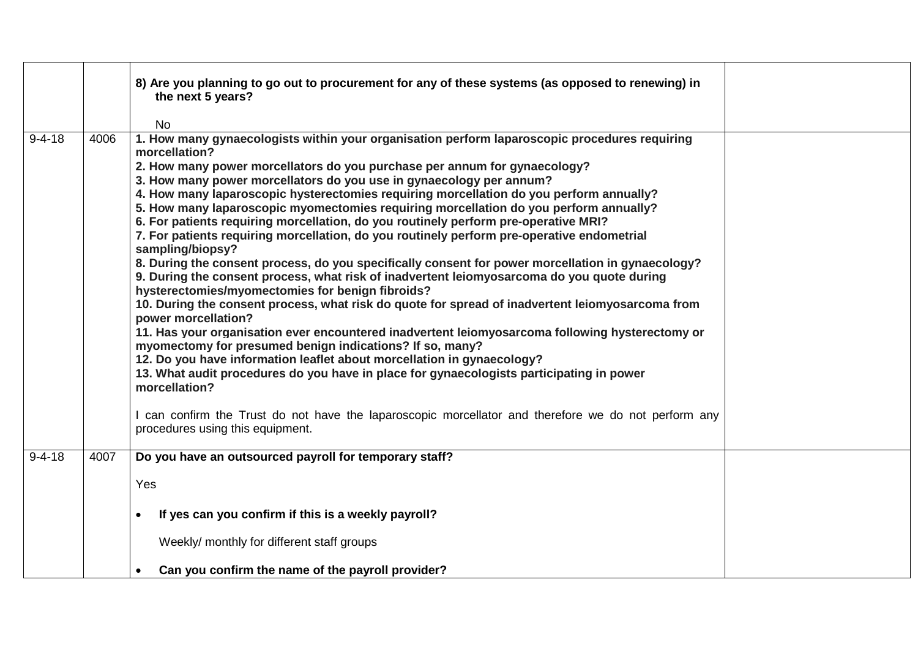|              |      | 8) Are you planning to go out to procurement for any of these systems (as opposed to renewing) in<br>the next 5 years?<br><b>No</b>                                                                                                                                                                                                                                                                                                                                                                                                                                                                                                                                                                                                                                                                                                                                                                                                                                                                                                                                                                                                                                                                                                                                                                                                                                                                                                                                                                                                                 |  |
|--------------|------|-----------------------------------------------------------------------------------------------------------------------------------------------------------------------------------------------------------------------------------------------------------------------------------------------------------------------------------------------------------------------------------------------------------------------------------------------------------------------------------------------------------------------------------------------------------------------------------------------------------------------------------------------------------------------------------------------------------------------------------------------------------------------------------------------------------------------------------------------------------------------------------------------------------------------------------------------------------------------------------------------------------------------------------------------------------------------------------------------------------------------------------------------------------------------------------------------------------------------------------------------------------------------------------------------------------------------------------------------------------------------------------------------------------------------------------------------------------------------------------------------------------------------------------------------------|--|
| $9 - 4 - 18$ | 4006 | 1. How many gynaecologists within your organisation perform laparoscopic procedures requiring<br>morcellation?<br>2. How many power morcellators do you purchase per annum for gynaecology?<br>3. How many power morcellators do you use in gynaecology per annum?<br>4. How many laparoscopic hysterectomies requiring morcellation do you perform annually?<br>5. How many laparoscopic myomectomies requiring morcellation do you perform annually?<br>6. For patients requiring morcellation, do you routinely perform pre-operative MRI?<br>7. For patients requiring morcellation, do you routinely perform pre-operative endometrial<br>sampling/biopsy?<br>8. During the consent process, do you specifically consent for power morcellation in gynaecology?<br>9. During the consent process, what risk of inadvertent leiomyosarcoma do you quote during<br>hysterectomies/myomectomies for benign fibroids?<br>10. During the consent process, what risk do quote for spread of inadvertent leiomyosarcoma from<br>power morcellation?<br>11. Has your organisation ever encountered inadvertent leiomyosarcoma following hysterectomy or<br>myomectomy for presumed benign indications? If so, many?<br>12. Do you have information leaflet about morcellation in gynaecology?<br>13. What audit procedures do you have in place for gynaecologists participating in power<br>morcellation?<br>I can confirm the Trust do not have the laparoscopic morcellator and therefore we do not perform any<br>procedures using this equipment. |  |
| $9 - 4 - 18$ | 4007 | Do you have an outsourced payroll for temporary staff?<br>Yes                                                                                                                                                                                                                                                                                                                                                                                                                                                                                                                                                                                                                                                                                                                                                                                                                                                                                                                                                                                                                                                                                                                                                                                                                                                                                                                                                                                                                                                                                       |  |
|              |      | If yes can you confirm if this is a weekly payroll?<br>Weekly/ monthly for different staff groups                                                                                                                                                                                                                                                                                                                                                                                                                                                                                                                                                                                                                                                                                                                                                                                                                                                                                                                                                                                                                                                                                                                                                                                                                                                                                                                                                                                                                                                   |  |
|              |      | Can you confirm the name of the payroll provider?                                                                                                                                                                                                                                                                                                                                                                                                                                                                                                                                                                                                                                                                                                                                                                                                                                                                                                                                                                                                                                                                                                                                                                                                                                                                                                                                                                                                                                                                                                   |  |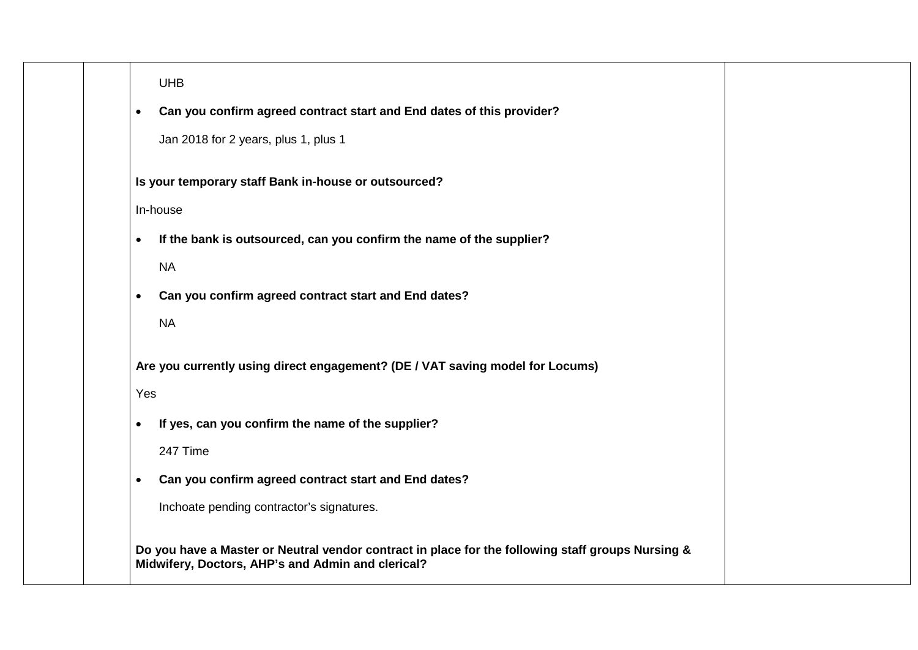UHB

• **Can you confirm agreed contract start and End dates of this provider?**

Jan 2018 for 2 years, plus 1, plus 1

**Is your temporary staff Bank in-house or outsourced?**

In-house

- **If the bank is outsourced, can you confirm the name of the supplier?** NA
- **Can you confirm agreed contract start and End dates?**
	- NA

**Are you currently using direct engagement? (DE / VAT saving model for Locums)**

Yes

• **If yes, can you confirm the name of the supplier?** 

247 Time

• **Can you confirm agreed contract start and End dates?**

Inchoate pending contractor's signatures.

**Do you have a Master or Neutral vendor contract in place for the following staff groups Nursing & Midwifery, Doctors, AHP's and Admin and clerical?**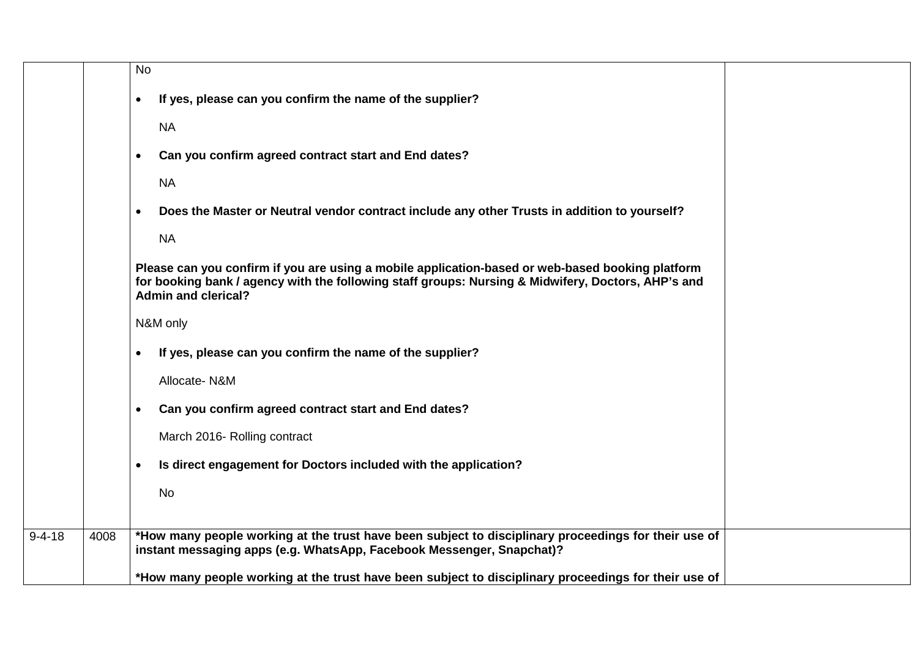|              |      | <b>No</b>                                                                                                                                                                                                                            |
|--------------|------|--------------------------------------------------------------------------------------------------------------------------------------------------------------------------------------------------------------------------------------|
|              |      | If yes, please can you confirm the name of the supplier?<br>$\bullet$                                                                                                                                                                |
|              |      | <b>NA</b>                                                                                                                                                                                                                            |
|              |      | Can you confirm agreed contract start and End dates?<br>$\bullet$                                                                                                                                                                    |
|              |      | <b>NA</b>                                                                                                                                                                                                                            |
|              |      | Does the Master or Neutral vendor contract include any other Trusts in addition to yourself?<br>$\bullet$                                                                                                                            |
|              |      | <b>NA</b>                                                                                                                                                                                                                            |
|              |      | Please can you confirm if you are using a mobile application-based or web-based booking platform<br>for booking bank / agency with the following staff groups: Nursing & Midwifery, Doctors, AHP's and<br><b>Admin and clerical?</b> |
|              |      | N&M only                                                                                                                                                                                                                             |
|              |      | If yes, please can you confirm the name of the supplier?<br>$\bullet$                                                                                                                                                                |
|              |      | Allocate-N&M                                                                                                                                                                                                                         |
|              |      | Can you confirm agreed contract start and End dates?<br>$\bullet$                                                                                                                                                                    |
|              |      | March 2016- Rolling contract                                                                                                                                                                                                         |
|              |      | Is direct engagement for Doctors included with the application?<br>$\bullet$                                                                                                                                                         |
|              |      | No                                                                                                                                                                                                                                   |
| $9 - 4 - 18$ | 4008 | *How many people working at the trust have been subject to disciplinary proceedings for their use of<br>instant messaging apps (e.g. WhatsApp, Facebook Messenger, Snapchat)?                                                        |
|              |      | *How many people working at the trust have been subject to disciplinary proceedings for their use of                                                                                                                                 |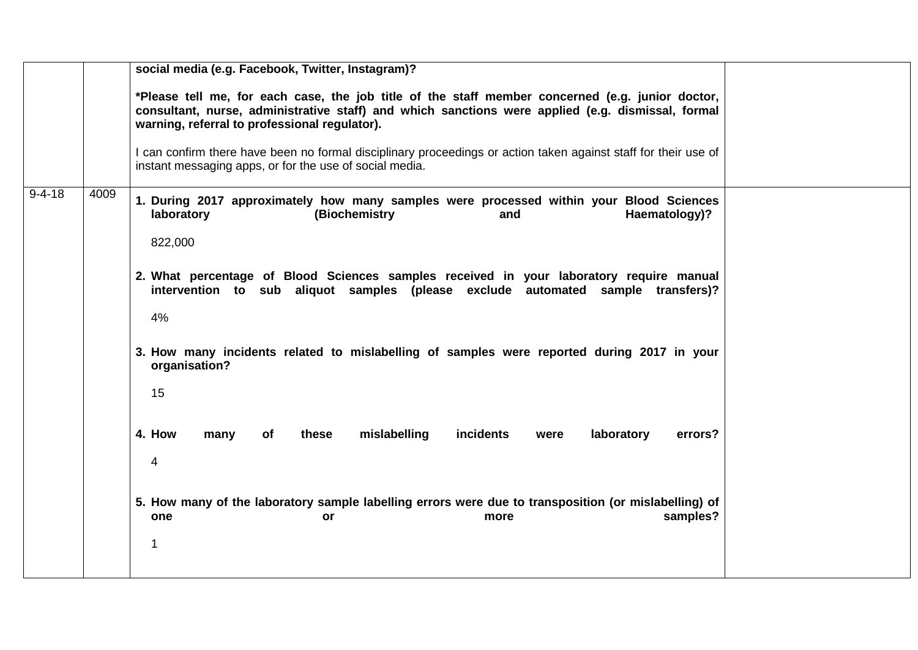|              |      | social media (e.g. Facebook, Twitter, Instagram)?                                                                                                                                                                                                                                                                                                                                                                                                                                                                                                                                                                                                                                                                |
|--------------|------|------------------------------------------------------------------------------------------------------------------------------------------------------------------------------------------------------------------------------------------------------------------------------------------------------------------------------------------------------------------------------------------------------------------------------------------------------------------------------------------------------------------------------------------------------------------------------------------------------------------------------------------------------------------------------------------------------------------|
|              |      | *Please tell me, for each case, the job title of the staff member concerned (e.g. junior doctor,<br>consultant, nurse, administrative staff) and which sanctions were applied (e.g. dismissal, formal<br>warning, referral to professional regulator).                                                                                                                                                                                                                                                                                                                                                                                                                                                           |
|              |      | I can confirm there have been no formal disciplinary proceedings or action taken against staff for their use of<br>instant messaging apps, or for the use of social media.                                                                                                                                                                                                                                                                                                                                                                                                                                                                                                                                       |
| $9 - 4 - 18$ | 4009 | 1. During 2017 approximately how many samples were processed within your Blood Sciences<br>laboratory<br>(Biochemistry<br>Haematology)?<br>and<br>822,000<br>2. What percentage of Blood Sciences samples received in your laboratory require manual<br>intervention to sub aliquot samples (please exclude automated sample transfers)?<br>4%<br>3. How many incidents related to mislabelling of samples were reported during 2017 in your<br>organisation?<br>15<br>4. How<br>incidents<br>these<br>mislabelling<br>laboratory<br>many<br>of<br>were<br>errors?<br>4<br>5. How many of the laboratory sample labelling errors were due to transposition (or mislabelling) of<br>samples?<br>one<br>more<br>or |
|              |      | $\mathbf 1$                                                                                                                                                                                                                                                                                                                                                                                                                                                                                                                                                                                                                                                                                                      |
|              |      |                                                                                                                                                                                                                                                                                                                                                                                                                                                                                                                                                                                                                                                                                                                  |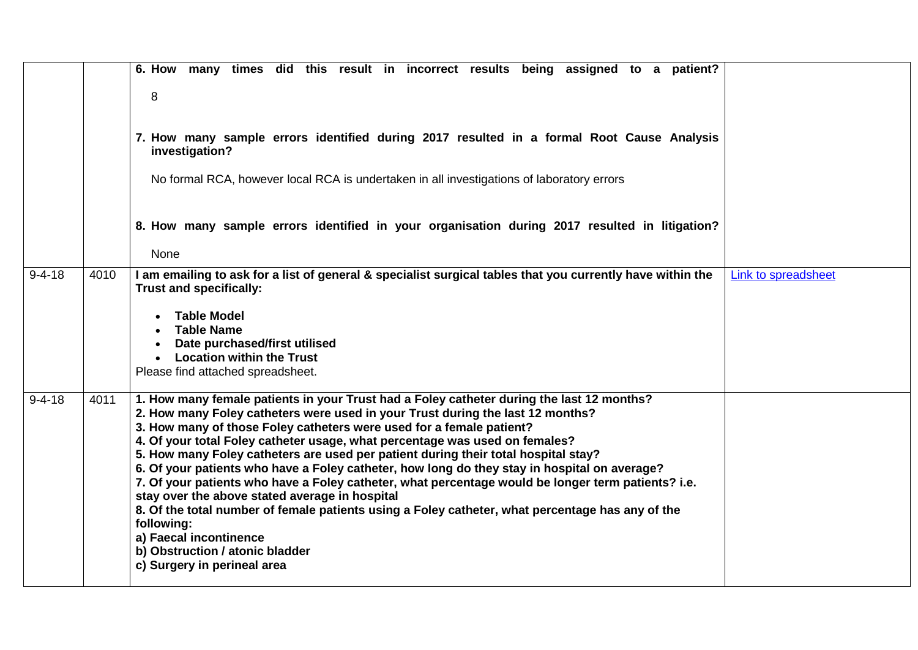|              |      | 6. How many times did this result in incorrect results being assigned to a patient?<br>8<br>7. How many sample errors identified during 2017 resulted in a formal Root Cause Analysis<br>investigation?<br>No formal RCA, however local RCA is undertaken in all investigations of laboratory errors                                                                                                                                                                                                                                                                                                                                                                                                                                                                                                                                                                                           |                     |
|--------------|------|------------------------------------------------------------------------------------------------------------------------------------------------------------------------------------------------------------------------------------------------------------------------------------------------------------------------------------------------------------------------------------------------------------------------------------------------------------------------------------------------------------------------------------------------------------------------------------------------------------------------------------------------------------------------------------------------------------------------------------------------------------------------------------------------------------------------------------------------------------------------------------------------|---------------------|
|              |      | 8. How many sample errors identified in your organisation during 2017 resulted in litigation?<br>None                                                                                                                                                                                                                                                                                                                                                                                                                                                                                                                                                                                                                                                                                                                                                                                          |                     |
| $9 - 4 - 18$ | 4010 | I am emailing to ask for a list of general & specialist surgical tables that you currently have within the<br>Trust and specifically:<br><b>Table Model</b><br><b>Table Name</b><br>Date purchased/first utilised<br><b>Location within the Trust</b><br>$\bullet$<br>Please find attached spreadsheet.                                                                                                                                                                                                                                                                                                                                                                                                                                                                                                                                                                                        | Link to spreadsheet |
| $9 - 4 - 18$ | 4011 | 1. How many female patients in your Trust had a Foley catheter during the last 12 months?<br>2. How many Foley catheters were used in your Trust during the last 12 months?<br>3. How many of those Foley catheters were used for a female patient?<br>4. Of your total Foley catheter usage, what percentage was used on females?<br>5. How many Foley catheters are used per patient during their total hospital stay?<br>6. Of your patients who have a Foley catheter, how long do they stay in hospital on average?<br>7. Of your patients who have a Foley catheter, what percentage would be longer term patients? i.e.<br>stay over the above stated average in hospital<br>8. Of the total number of female patients using a Foley catheter, what percentage has any of the<br>following:<br>a) Faecal incontinence<br>b) Obstruction / atonic bladder<br>c) Surgery in perineal area |                     |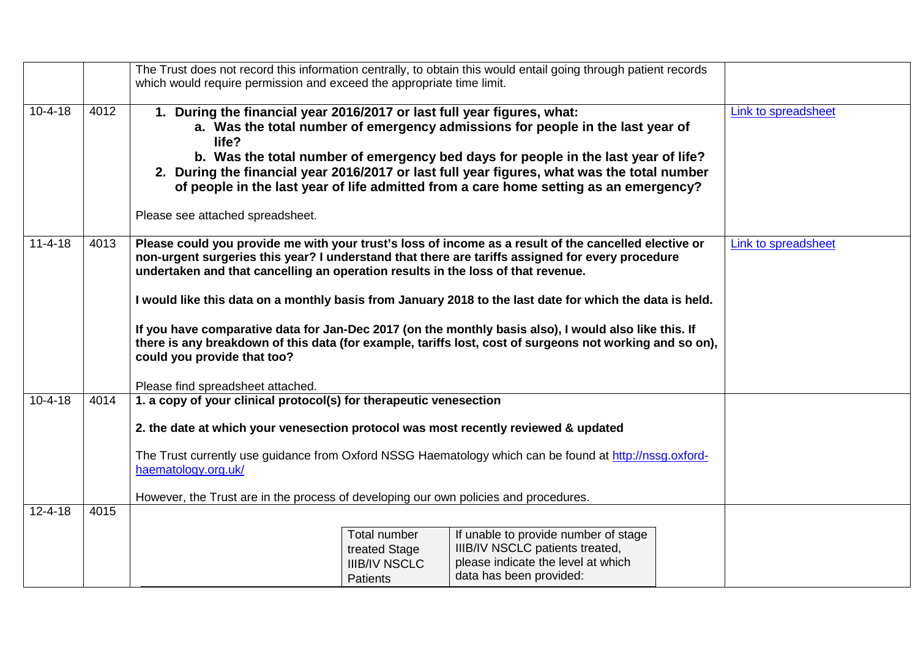|               |      | which would require permission and exceed the appropriate time limit.                                                                                                                                                                                                                                                                                                                                                                                                                                                                                                                                                                                                                              |                                                                          | The Trust does not record this information centrally, to obtain this would entail going through patient records                                                                                                                                                                                                                                              |  |                            |
|---------------|------|----------------------------------------------------------------------------------------------------------------------------------------------------------------------------------------------------------------------------------------------------------------------------------------------------------------------------------------------------------------------------------------------------------------------------------------------------------------------------------------------------------------------------------------------------------------------------------------------------------------------------------------------------------------------------------------------------|--------------------------------------------------------------------------|--------------------------------------------------------------------------------------------------------------------------------------------------------------------------------------------------------------------------------------------------------------------------------------------------------------------------------------------------------------|--|----------------------------|
|               |      |                                                                                                                                                                                                                                                                                                                                                                                                                                                                                                                                                                                                                                                                                                    |                                                                          |                                                                                                                                                                                                                                                                                                                                                              |  |                            |
| $10 - 4 - 18$ | 4012 | 1. During the financial year 2016/2017 or last full year figures, what:<br>life?<br>Please see attached spreadsheet.                                                                                                                                                                                                                                                                                                                                                                                                                                                                                                                                                                               |                                                                          | a. Was the total number of emergency admissions for people in the last year of<br>b. Was the total number of emergency bed days for people in the last year of life?<br>2. During the financial year 2016/2017 or last full year figures, what was the total number<br>of people in the last year of life admitted from a care home setting as an emergency? |  | Link to spreadsheet        |
| $11 - 4 - 18$ | 4013 | Please could you provide me with your trust's loss of income as a result of the cancelled elective or<br>non-urgent surgeries this year? I understand that there are tariffs assigned for every procedure<br>undertaken and that cancelling an operation results in the loss of that revenue.<br>I would like this data on a monthly basis from January 2018 to the last date for which the data is held.<br>If you have comparative data for Jan-Dec 2017 (on the monthly basis also), I would also like this. If<br>there is any breakdown of this data (for example, tariffs lost, cost of surgeons not working and so on),<br>could you provide that too?<br>Please find spreadsheet attached. |                                                                          |                                                                                                                                                                                                                                                                                                                                                              |  | <b>Link to spreadsheet</b> |
| $10 - 4 - 18$ | 4014 | 1. a copy of your clinical protocol(s) for therapeutic venesection<br>2. the date at which your venesection protocol was most recently reviewed & updated<br>The Trust currently use guidance from Oxford NSSG Haematology which can be found at http://nssg.oxford-<br>haematology.org.uk/<br>However, the Trust are in the process of developing our own policies and procedures.                                                                                                                                                                                                                                                                                                                |                                                                          |                                                                                                                                                                                                                                                                                                                                                              |  |                            |
| $12 - 4 - 18$ | 4015 |                                                                                                                                                                                                                                                                                                                                                                                                                                                                                                                                                                                                                                                                                                    | Total number<br>treated Stage<br><b>IIIB/IV NSCLC</b><br><b>Patients</b> | If unable to provide number of stage<br>IIIB/IV NSCLC patients treated,<br>please indicate the level at which<br>data has been provided:                                                                                                                                                                                                                     |  |                            |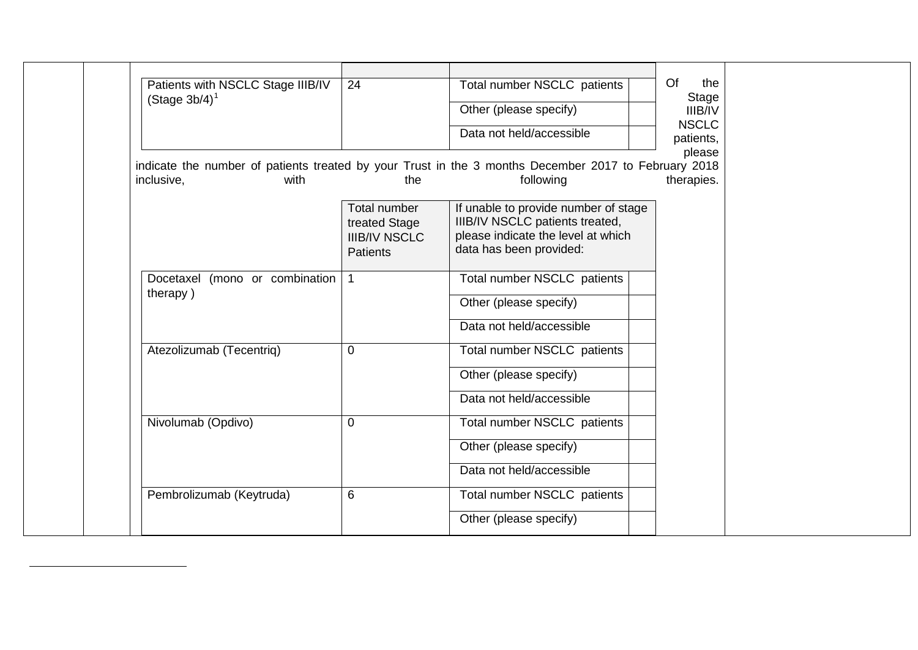<span id="page-12-0"></span>

|                                                                                                                            |                                                                   |                                                                                                                                          | Of<br>the                 |
|----------------------------------------------------------------------------------------------------------------------------|-------------------------------------------------------------------|------------------------------------------------------------------------------------------------------------------------------------------|---------------------------|
| Patients with NSCLC Stage IIIB/IV<br>(Stage $3b/4$ ) <sup>1</sup>                                                          | 24                                                                | Total number NSCLC patients                                                                                                              | <b>Stage</b>              |
|                                                                                                                            |                                                                   | Other (please specify)                                                                                                                   | <b>IIIB/IV</b>            |
|                                                                                                                            |                                                                   | Data not held/accessible                                                                                                                 | <b>NSCLC</b><br>patients, |
|                                                                                                                            |                                                                   |                                                                                                                                          | please                    |
| indicate the number of patients treated by your Trust in the 3 months December 2017 to February 2018<br>inclusive,<br>with | the                                                               | following                                                                                                                                | therapies.                |
|                                                                                                                            | Total number<br>treated Stage<br><b>IIIB/IV NSCLC</b><br>Patients | If unable to provide number of stage<br>IIIB/IV NSCLC patients treated,<br>please indicate the level at which<br>data has been provided: |                           |
| Docetaxel (mono or combination)                                                                                            | $\mathbf{1}$                                                      | Total number NSCLC patients                                                                                                              |                           |
| therapy)                                                                                                                   |                                                                   | Other (please specify)                                                                                                                   |                           |
|                                                                                                                            |                                                                   | Data not held/accessible                                                                                                                 |                           |
| Atezolizumab (Tecentriq)                                                                                                   | $\mathbf 0$                                                       | Total number NSCLC patients                                                                                                              |                           |
|                                                                                                                            |                                                                   | Other (please specify)                                                                                                                   |                           |
|                                                                                                                            |                                                                   | Data not held/accessible                                                                                                                 |                           |
| Nivolumab (Opdivo)                                                                                                         | $\Omega$                                                          | Total number NSCLC patients                                                                                                              |                           |
|                                                                                                                            |                                                                   | Other (please specify)                                                                                                                   |                           |
|                                                                                                                            |                                                                   | Data not held/accessible                                                                                                                 |                           |
| Pembrolizumab (Keytruda)                                                                                                   | 6                                                                 | Total number NSCLC patients                                                                                                              |                           |
|                                                                                                                            |                                                                   | Other (please specify)                                                                                                                   |                           |

 $\overline{a}$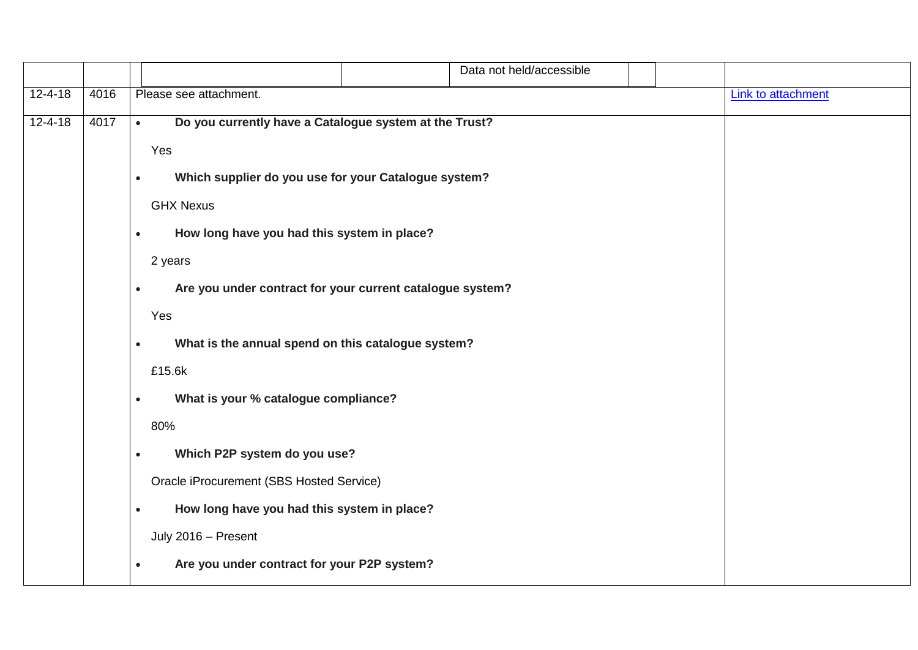|               |      | Data not held/accessible                                               |  |                           |  |
|---------------|------|------------------------------------------------------------------------|--|---------------------------|--|
| $12 - 4 - 18$ | 4016 | Please see attachment.                                                 |  | <b>Link to attachment</b> |  |
| $12 - 4 - 18$ | 4017 | Do you currently have a Catalogue system at the Trust?<br>$\bullet$    |  |                           |  |
|               |      | Yes                                                                    |  |                           |  |
|               |      | Which supplier do you use for your Catalogue system?<br>$\bullet$      |  |                           |  |
|               |      | <b>GHX Nexus</b>                                                       |  |                           |  |
|               |      | How long have you had this system in place?<br>$\bullet$               |  |                           |  |
|               |      | 2 years                                                                |  |                           |  |
|               |      | Are you under contract for your current catalogue system?<br>$\bullet$ |  |                           |  |
|               |      | Yes                                                                    |  |                           |  |
|               |      | What is the annual spend on this catalogue system?<br>$\bullet$        |  |                           |  |
|               |      | £15.6k                                                                 |  |                           |  |
|               |      | What is your % catalogue compliance?<br>$\bullet$                      |  |                           |  |
|               |      | 80%                                                                    |  |                           |  |
|               |      | Which P2P system do you use?<br>$\bullet$                              |  |                           |  |
|               |      | Oracle iProcurement (SBS Hosted Service)                               |  |                           |  |
|               |      | How long have you had this system in place?<br>$\bullet$               |  |                           |  |
|               |      | July 2016 - Present                                                    |  |                           |  |
|               |      | Are you under contract for your P2P system?<br>$\bullet$               |  |                           |  |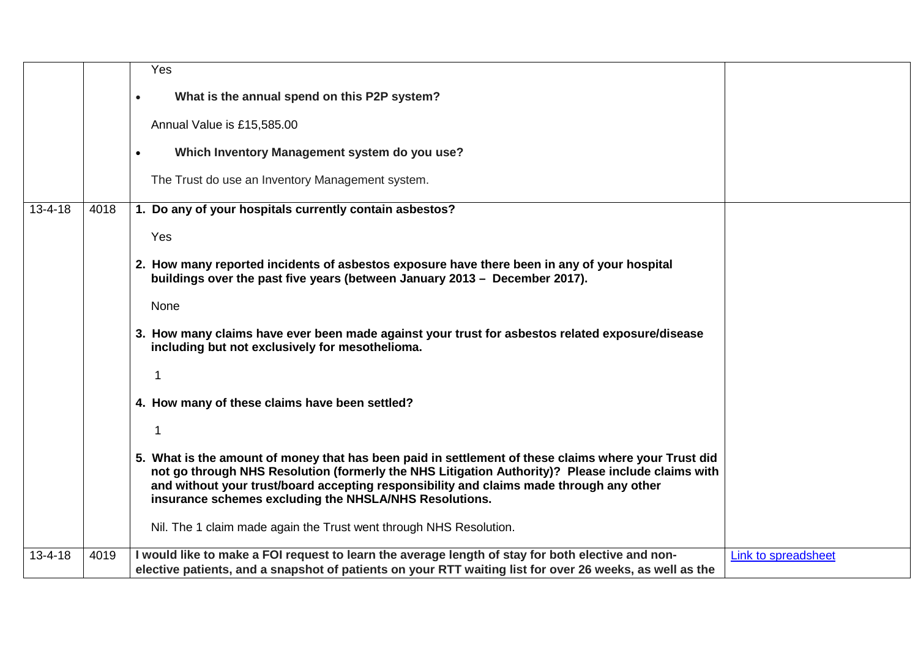|               |      | Yes                                                                                                                                                                                                                                                                                                                                                            |                     |
|---------------|------|----------------------------------------------------------------------------------------------------------------------------------------------------------------------------------------------------------------------------------------------------------------------------------------------------------------------------------------------------------------|---------------------|
|               |      | What is the annual spend on this P2P system?<br>$\bullet$                                                                                                                                                                                                                                                                                                      |                     |
|               |      | Annual Value is £15,585.00                                                                                                                                                                                                                                                                                                                                     |                     |
|               |      | Which Inventory Management system do you use?<br>$\bullet$                                                                                                                                                                                                                                                                                                     |                     |
|               |      | The Trust do use an Inventory Management system.                                                                                                                                                                                                                                                                                                               |                     |
| $13 - 4 - 18$ | 4018 | 1. Do any of your hospitals currently contain asbestos?                                                                                                                                                                                                                                                                                                        |                     |
|               |      | Yes                                                                                                                                                                                                                                                                                                                                                            |                     |
|               |      | 2. How many reported incidents of asbestos exposure have there been in any of your hospital<br>buildings over the past five years (between January 2013 - December 2017).                                                                                                                                                                                      |                     |
|               |      | None                                                                                                                                                                                                                                                                                                                                                           |                     |
|               |      | 3. How many claims have ever been made against your trust for asbestos related exposure/disease<br>including but not exclusively for mesothelioma.                                                                                                                                                                                                             |                     |
|               |      | 1                                                                                                                                                                                                                                                                                                                                                              |                     |
|               |      | 4. How many of these claims have been settled?                                                                                                                                                                                                                                                                                                                 |                     |
|               |      | 1                                                                                                                                                                                                                                                                                                                                                              |                     |
|               |      | 5. What is the amount of money that has been paid in settlement of these claims where your Trust did<br>not go through NHS Resolution (formerly the NHS Litigation Authority)? Please include claims with<br>and without your trust/board accepting responsibility and claims made through any other<br>insurance schemes excluding the NHSLA/NHS Resolutions. |                     |
|               |      | Nil. The 1 claim made again the Trust went through NHS Resolution.                                                                                                                                                                                                                                                                                             |                     |
| $13 - 4 - 18$ | 4019 | I would like to make a FOI request to learn the average length of stay for both elective and non-<br>elective patients, and a snapshot of patients on your RTT waiting list for over 26 weeks, as well as the                                                                                                                                                  | Link to spreadsheet |
|               |      |                                                                                                                                                                                                                                                                                                                                                                |                     |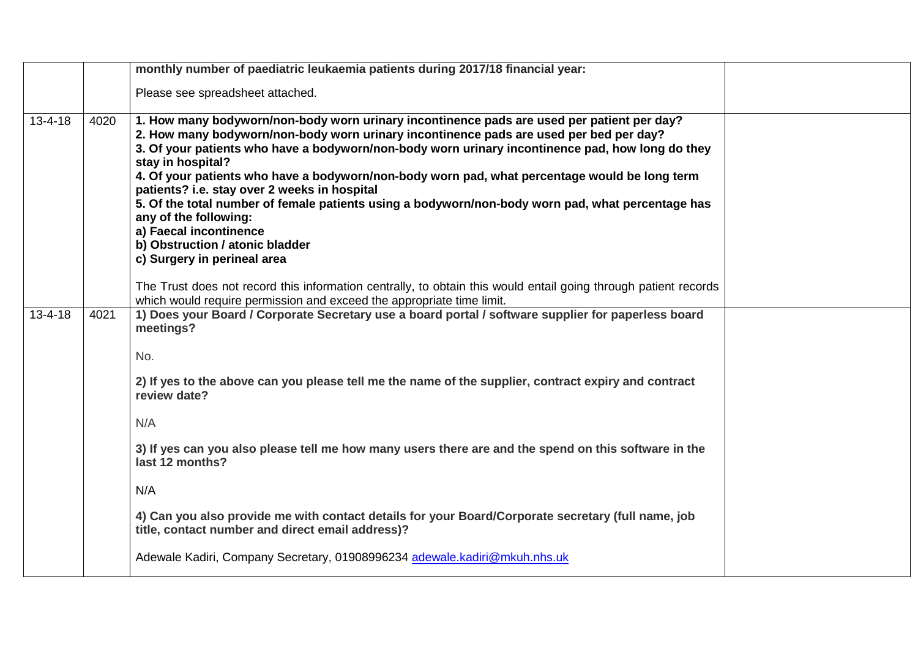|               |      | monthly number of paediatric leukaemia patients during 2017/18 financial year:                                                                                                                                                                                                                                                                                                                                                                                                                                                                                                                                                                                                           |  |
|---------------|------|------------------------------------------------------------------------------------------------------------------------------------------------------------------------------------------------------------------------------------------------------------------------------------------------------------------------------------------------------------------------------------------------------------------------------------------------------------------------------------------------------------------------------------------------------------------------------------------------------------------------------------------------------------------------------------------|--|
|               |      | Please see spreadsheet attached.                                                                                                                                                                                                                                                                                                                                                                                                                                                                                                                                                                                                                                                         |  |
| $13 - 4 - 18$ | 4020 | 1. How many bodyworn/non-body worn urinary incontinence pads are used per patient per day?<br>2. How many bodyworn/non-body worn urinary incontinence pads are used per bed per day?<br>3. Of your patients who have a bodyworn/non-body worn urinary incontinence pad, how long do they<br>stay in hospital?<br>4. Of your patients who have a bodyworn/non-body worn pad, what percentage would be long term<br>patients? i.e. stay over 2 weeks in hospital<br>5. Of the total number of female patients using a bodyworn/non-body worn pad, what percentage has<br>any of the following:<br>a) Faecal incontinence<br>b) Obstruction / atonic bladder<br>c) Surgery in perineal area |  |
|               |      | The Trust does not record this information centrally, to obtain this would entail going through patient records<br>which would require permission and exceed the appropriate time limit.                                                                                                                                                                                                                                                                                                                                                                                                                                                                                                 |  |
| $13 - 4 - 18$ | 4021 | 1) Does your Board / Corporate Secretary use a board portal / software supplier for paperless board<br>meetings?<br>No.                                                                                                                                                                                                                                                                                                                                                                                                                                                                                                                                                                  |  |
|               |      | 2) If yes to the above can you please tell me the name of the supplier, contract expiry and contract<br>review date?                                                                                                                                                                                                                                                                                                                                                                                                                                                                                                                                                                     |  |
|               |      | N/A                                                                                                                                                                                                                                                                                                                                                                                                                                                                                                                                                                                                                                                                                      |  |
|               |      | 3) If yes can you also please tell me how many users there are and the spend on this software in the<br>last 12 months?                                                                                                                                                                                                                                                                                                                                                                                                                                                                                                                                                                  |  |
|               |      | N/A                                                                                                                                                                                                                                                                                                                                                                                                                                                                                                                                                                                                                                                                                      |  |
|               |      | 4) Can you also provide me with contact details for your Board/Corporate secretary (full name, job<br>title, contact number and direct email address)?                                                                                                                                                                                                                                                                                                                                                                                                                                                                                                                                   |  |
|               |      | Adewale Kadiri, Company Secretary, 01908996234 adewale.kadiri@mkuh.nhs.uk                                                                                                                                                                                                                                                                                                                                                                                                                                                                                                                                                                                                                |  |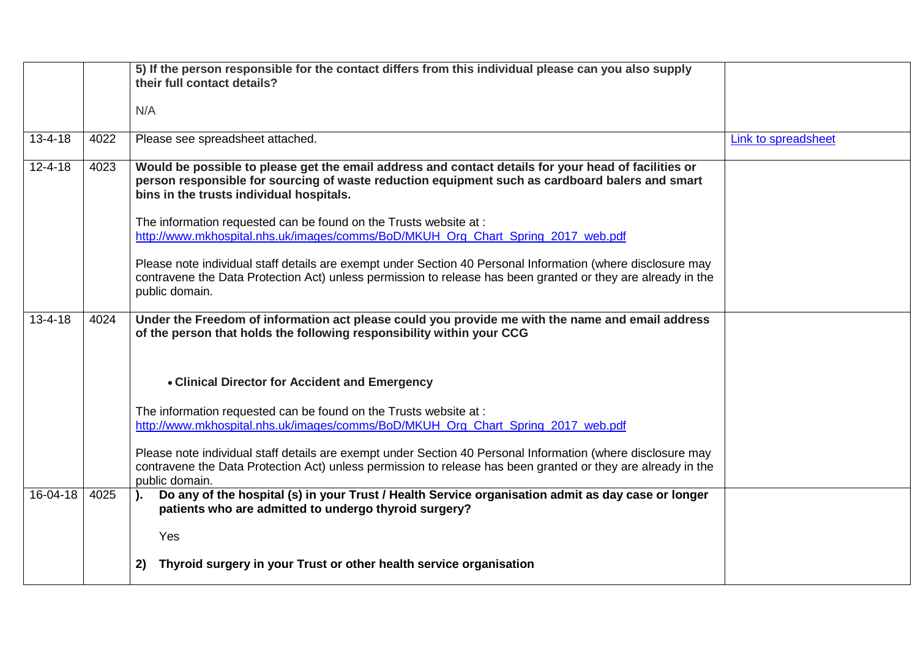|               |      | 5) If the person responsible for the contact differs from this individual please can you also supply<br>their full contact details?                                                                                                                 |                            |
|---------------|------|-----------------------------------------------------------------------------------------------------------------------------------------------------------------------------------------------------------------------------------------------------|----------------------------|
|               |      |                                                                                                                                                                                                                                                     |                            |
|               |      | N/A                                                                                                                                                                                                                                                 |                            |
| $13 - 4 - 18$ | 4022 | Please see spreadsheet attached.                                                                                                                                                                                                                    | <b>Link to spreadsheet</b> |
| $12 - 4 - 18$ | 4023 | Would be possible to please get the email address and contact details for your head of facilities or<br>person responsible for sourcing of waste reduction equipment such as cardboard balers and smart<br>bins in the trusts individual hospitals. |                            |
|               |      | The information requested can be found on the Trusts website at :<br>http://www.mkhospital.nhs.uk/images/comms/BoD/MKUH_Org_Chart_Spring_2017_web.pdf                                                                                               |                            |
|               |      | Please note individual staff details are exempt under Section 40 Personal Information (where disclosure may<br>contravene the Data Protection Act) unless permission to release has been granted or they are already in the<br>public domain.       |                            |
| $13 - 4 - 18$ | 4024 | Under the Freedom of information act please could you provide me with the name and email address<br>of the person that holds the following responsibility within your CCG                                                                           |                            |
|               |      | • Clinical Director for Accident and Emergency                                                                                                                                                                                                      |                            |
|               |      | The information requested can be found on the Trusts website at :<br>http://www.mkhospital.nhs.uk/images/comms/BoD/MKUH Org Chart Spring 2017 web.pdf                                                                                               |                            |
|               |      | Please note individual staff details are exempt under Section 40 Personal Information (where disclosure may<br>contravene the Data Protection Act) unless permission to release has been granted or they are already in the<br>public domain.       |                            |
| 16-04-18      | 4025 | Do any of the hospital (s) in your Trust / Health Service organisation admit as day case or longer<br>patients who are admitted to undergo thyroid surgery?                                                                                         |                            |
|               |      | Yes                                                                                                                                                                                                                                                 |                            |
|               |      | Thyroid surgery in your Trust or other health service organisation<br>2)                                                                                                                                                                            |                            |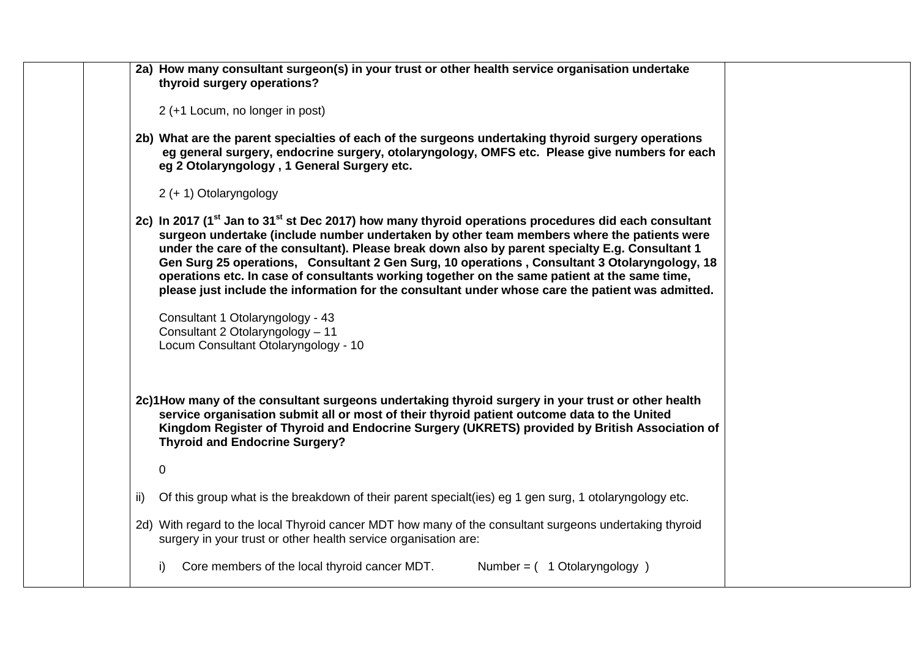| 2a) How many consultant surgeon(s) in your trust or other health service organisation undertake<br>thyroid surgery operations?                                                                                                                                                                                                                                                                                                                                                                                                                                                                                                       |
|--------------------------------------------------------------------------------------------------------------------------------------------------------------------------------------------------------------------------------------------------------------------------------------------------------------------------------------------------------------------------------------------------------------------------------------------------------------------------------------------------------------------------------------------------------------------------------------------------------------------------------------|
| 2 (+1 Locum, no longer in post)                                                                                                                                                                                                                                                                                                                                                                                                                                                                                                                                                                                                      |
| 2b) What are the parent specialties of each of the surgeons undertaking thyroid surgery operations<br>eg general surgery, endocrine surgery, otolaryngology, OMFS etc. Please give numbers for each<br>eg 2 Otolaryngology, 1 General Surgery etc.                                                                                                                                                                                                                                                                                                                                                                                   |
| 2 (+ 1) Otolaryngology                                                                                                                                                                                                                                                                                                                                                                                                                                                                                                                                                                                                               |
| 2c) In 2017 (1 <sup>st</sup> Jan to 31 <sup>st</sup> st Dec 2017) how many thyroid operations procedures did each consultant<br>surgeon undertake (include number undertaken by other team members where the patients were<br>under the care of the consultant). Please break down also by parent specialty E.g. Consultant 1<br>Gen Surg 25 operations, Consultant 2 Gen Surg, 10 operations, Consultant 3 Otolaryngology, 18<br>operations etc. In case of consultants working together on the same patient at the same time,<br>please just include the information for the consultant under whose care the patient was admitted. |
| Consultant 1 Otolaryngology - 43<br>Consultant 2 Otolaryngology - 11<br>Locum Consultant Otolaryngology - 10                                                                                                                                                                                                                                                                                                                                                                                                                                                                                                                         |
| 2c)1How many of the consultant surgeons undertaking thyroid surgery in your trust or other health<br>service organisation submit all or most of their thyroid patient outcome data to the United<br>Kingdom Register of Thyroid and Endocrine Surgery (UKRETS) provided by British Association of<br><b>Thyroid and Endocrine Surgery?</b>                                                                                                                                                                                                                                                                                           |
| $\mathbf 0$                                                                                                                                                                                                                                                                                                                                                                                                                                                                                                                                                                                                                          |
| Of this group what is the breakdown of their parent specialt (ies) eg 1 gen surg, 1 otolaryngology etc.<br>ii)                                                                                                                                                                                                                                                                                                                                                                                                                                                                                                                       |
| 2d) With regard to the local Thyroid cancer MDT how many of the consultant surgeons undertaking thyroid<br>surgery in your trust or other health service organisation are:                                                                                                                                                                                                                                                                                                                                                                                                                                                           |
| Core members of the local thyroid cancer MDT.<br>Number = $(1$ Otolaryngology $)$<br>i)                                                                                                                                                                                                                                                                                                                                                                                                                                                                                                                                              |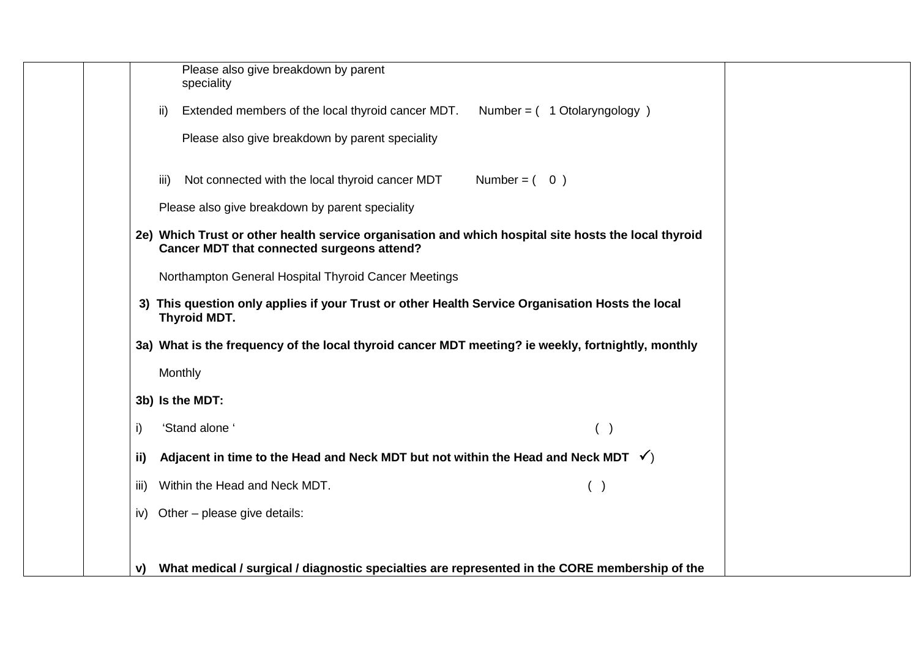|  |      | Please also give breakdown by parent<br>speciality                                                                                                 |  |
|--|------|----------------------------------------------------------------------------------------------------------------------------------------------------|--|
|  | ii)  | Extended members of the local thyroid cancer MDT.<br>Number = $(1$ Otolaryngology $)$                                                              |  |
|  |      | Please also give breakdown by parent speciality                                                                                                    |  |
|  | iii) | Not connected with the local thyroid cancer MDT<br>Number = $(0)$                                                                                  |  |
|  |      | Please also give breakdown by parent speciality                                                                                                    |  |
|  |      | 2e) Which Trust or other health service organisation and which hospital site hosts the local thyroid<br>Cancer MDT that connected surgeons attend? |  |
|  |      | Northampton General Hospital Thyroid Cancer Meetings                                                                                               |  |
|  |      | 3) This question only applies if your Trust or other Health Service Organisation Hosts the local<br>Thyroid MDT.                                   |  |
|  |      | 3a) What is the frequency of the local thyroid cancer MDT meeting? ie weekly, fortnightly, monthly                                                 |  |
|  |      | Monthly                                                                                                                                            |  |
|  |      | 3b) Is the MDT:                                                                                                                                    |  |
|  | i)   | 'Stand alone '<br>( )                                                                                                                              |  |
|  | ii)  | Adjacent in time to the Head and Neck MDT but not within the Head and Neck MDT $\checkmark$ )                                                      |  |
|  | iii) | Within the Head and Neck MDT.<br>( )                                                                                                               |  |
|  |      | iv) Other - please give details:                                                                                                                   |  |
|  |      |                                                                                                                                                    |  |
|  | v)   | What medical / surgical / diagnostic specialties are represented in the CORE membership of the                                                     |  |
|  |      |                                                                                                                                                    |  |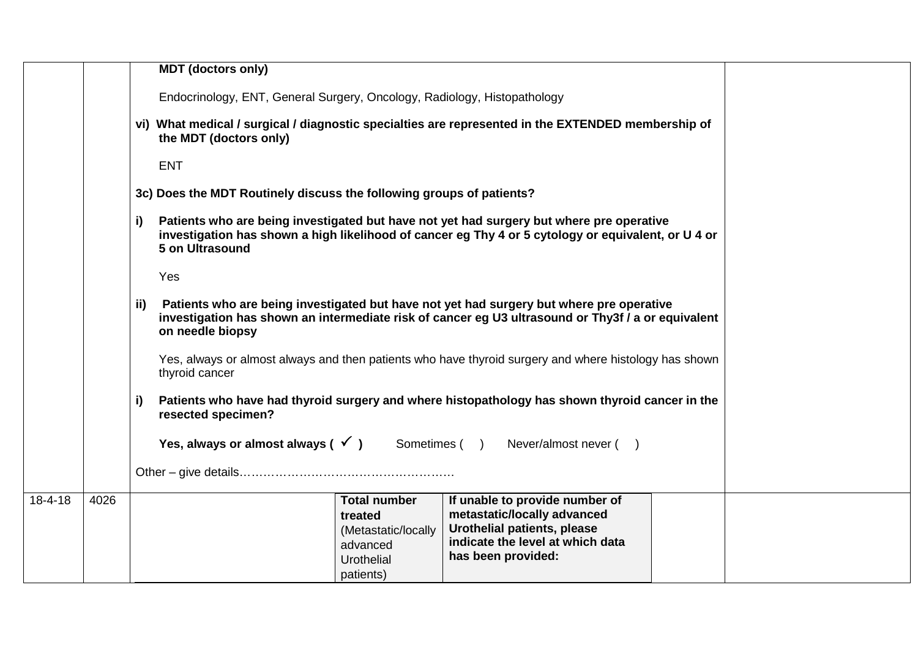|               |      | <b>MDT</b> (doctors only)                                                                                                                                                                                                                                     |  |
|---------------|------|---------------------------------------------------------------------------------------------------------------------------------------------------------------------------------------------------------------------------------------------------------------|--|
|               |      | Endocrinology, ENT, General Surgery, Oncology, Radiology, Histopathology                                                                                                                                                                                      |  |
|               |      | vi) What medical / surgical / diagnostic specialties are represented in the EXTENDED membership of<br>the MDT (doctors only)                                                                                                                                  |  |
|               |      | <b>ENT</b>                                                                                                                                                                                                                                                    |  |
|               |      | 3c) Does the MDT Routinely discuss the following groups of patients?                                                                                                                                                                                          |  |
|               |      | Patients who are being investigated but have not yet had surgery but where pre operative<br>i)<br>investigation has shown a high likelihood of cancer eg Thy 4 or 5 cytology or equivalent, or U 4 or<br>5 on Ultrasound                                      |  |
|               |      | Yes                                                                                                                                                                                                                                                           |  |
|               |      | Patients who are being investigated but have not yet had surgery but where pre operative<br>ii)<br>investigation has shown an intermediate risk of cancer eg U3 ultrasound or Thy3f / a or equivalent<br>on needle biopsy                                     |  |
|               |      | Yes, always or almost always and then patients who have thyroid surgery and where histology has shown<br>thyroid cancer                                                                                                                                       |  |
|               |      | Patients who have had thyroid surgery and where histopathology has shown thyroid cancer in the<br>i)<br>resected specimen?                                                                                                                                    |  |
|               |      | Yes, always or almost always $(\sqrt{})$ Sometimes () Never/almost never ()                                                                                                                                                                                   |  |
|               |      |                                                                                                                                                                                                                                                               |  |
| $18 - 4 - 18$ | 4026 | <b>Total number</b><br>If unable to provide number of<br>metastatic/locally advanced<br>treated<br>Urothelial patients, please<br>(Metastatic/locally<br>indicate the level at which data<br>advanced<br>has been provided:<br><b>Urothelial</b><br>patients) |  |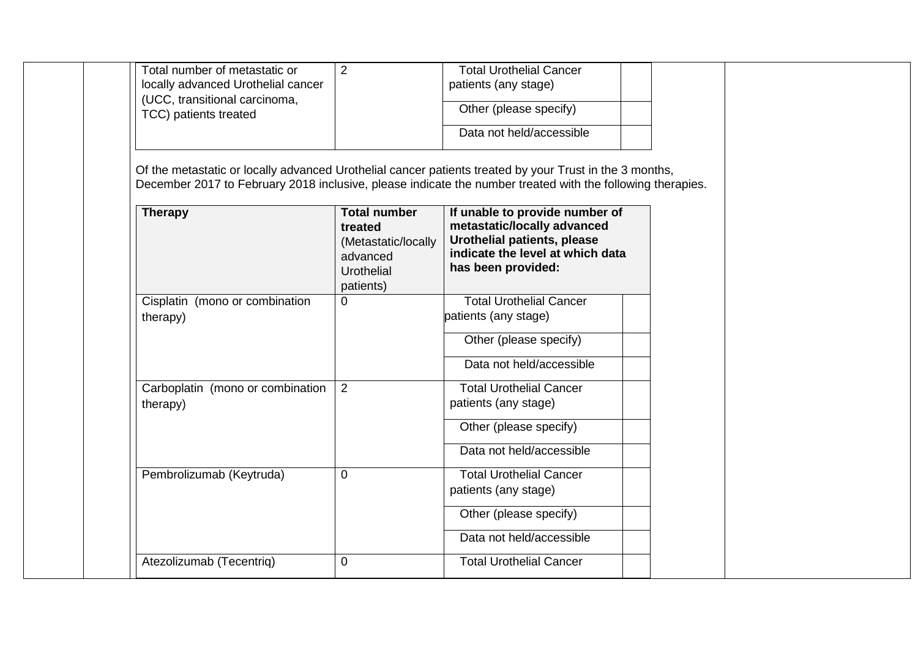| Total number of metastatic or<br>locally advanced Urothelial cancer<br>(UCC, transitional carcinoma,<br>TCC) patients treated                                                                                                           | $\overline{2}$                                                                               | <b>Total Urothelial Cancer</b><br>patients (any stage)<br>Other (please specify)<br>Data not held/accessible                                           |  |
|-----------------------------------------------------------------------------------------------------------------------------------------------------------------------------------------------------------------------------------------|----------------------------------------------------------------------------------------------|--------------------------------------------------------------------------------------------------------------------------------------------------------|--|
| Of the metastatic or locally advanced Urothelial cancer patients treated by your Trust in the 3 months,<br>December 2017 to February 2018 inclusive, please indicate the number treated with the following therapies.<br><b>Therapy</b> | <b>Total number</b><br>treated<br>(Metastatic/locally<br>advanced<br>Urothelial<br>patients) | If unable to provide number of<br>metastatic/locally advanced<br>Urothelial patients, please<br>indicate the level at which data<br>has been provided: |  |
| Cisplatin (mono or combination<br>therapy)                                                                                                                                                                                              | $\overline{0}$                                                                               | <b>Total Urothelial Cancer</b><br>patients (any stage)<br>Other (please specify)<br>Data not held/accessible                                           |  |
| Carboplatin (mono or combination<br>therapy)                                                                                                                                                                                            | $\overline{2}$                                                                               | <b>Total Urothelial Cancer</b><br>patients (any stage)<br>Other (please specify)<br>Data not held/accessible                                           |  |
| Pembrolizumab (Keytruda)                                                                                                                                                                                                                | $\mathbf 0$                                                                                  | <b>Total Urothelial Cancer</b><br>patients (any stage)<br>Other (please specify)<br>Data not held/accessible                                           |  |
| Atezolizumab (Tecentriq)                                                                                                                                                                                                                | 0                                                                                            | <b>Total Urothelial Cancer</b>                                                                                                                         |  |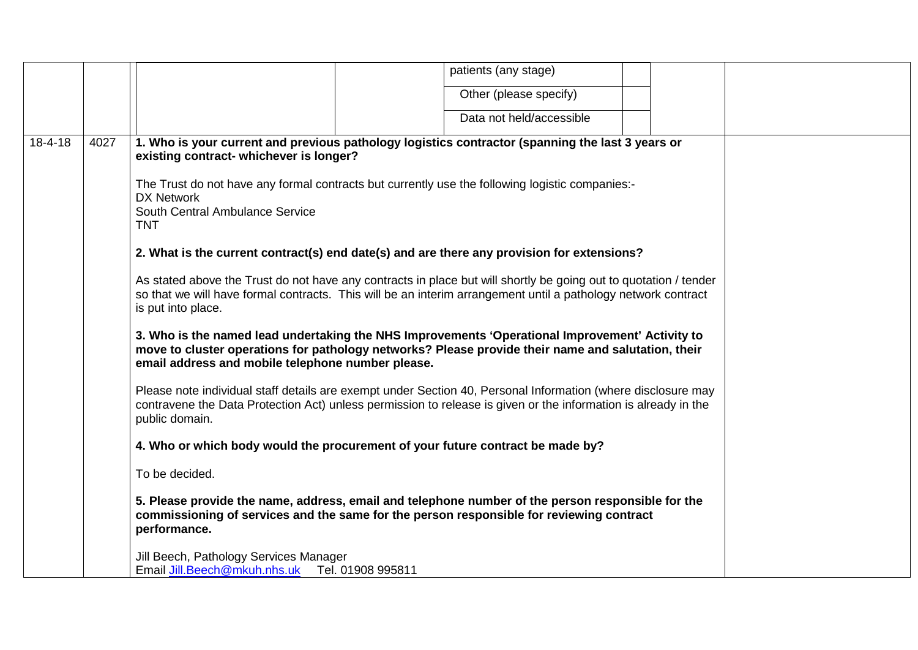|               |      | patients (any stage)                                                                                                                                                                                                                                       |
|---------------|------|------------------------------------------------------------------------------------------------------------------------------------------------------------------------------------------------------------------------------------------------------------|
|               |      | Other (please specify)                                                                                                                                                                                                                                     |
|               |      | Data not held/accessible                                                                                                                                                                                                                                   |
| $18 - 4 - 18$ | 4027 | 1. Who is your current and previous pathology logistics contractor (spanning the last 3 years or<br>existing contract- whichever is longer?                                                                                                                |
|               |      | The Trust do not have any formal contracts but currently use the following logistic companies:-<br><b>DX Network</b><br>South Central Ambulance Service<br><b>TNT</b>                                                                                      |
|               |      | 2. What is the current contract(s) end date(s) and are there any provision for extensions?                                                                                                                                                                 |
|               |      | As stated above the Trust do not have any contracts in place but will shortly be going out to quotation / tender<br>so that we will have formal contracts. This will be an interim arrangement until a pathology network contract<br>is put into place.    |
|               |      | 3. Who is the named lead undertaking the NHS Improvements 'Operational Improvement' Activity to<br>move to cluster operations for pathology networks? Please provide their name and salutation, their<br>email address and mobile telephone number please. |
|               |      | Please note individual staff details are exempt under Section 40, Personal Information (where disclosure may<br>contravene the Data Protection Act) unless permission to release is given or the information is already in the<br>public domain.           |
|               |      | 4. Who or which body would the procurement of your future contract be made by?                                                                                                                                                                             |
|               |      | To be decided.                                                                                                                                                                                                                                             |
|               |      | 5. Please provide the name, address, email and telephone number of the person responsible for the<br>commissioning of services and the same for the person responsible for reviewing contract<br>performance.                                              |
|               |      | Jill Beech, Pathology Services Manager<br>Email Jill.Beech@mkuh.nhs.uk Tel. 01908 995811                                                                                                                                                                   |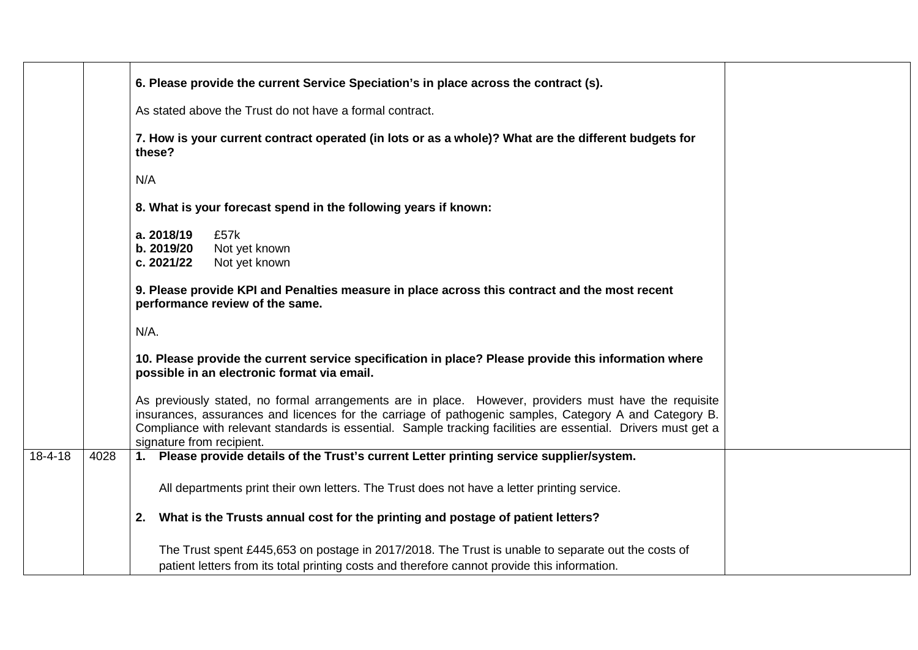|               |      | 6. Please provide the current Service Speciation's in place across the contract (s).                                                                                                                                                                                                                                                                          |
|---------------|------|---------------------------------------------------------------------------------------------------------------------------------------------------------------------------------------------------------------------------------------------------------------------------------------------------------------------------------------------------------------|
|               |      | As stated above the Trust do not have a formal contract.                                                                                                                                                                                                                                                                                                      |
|               |      | 7. How is your current contract operated (in lots or as a whole)? What are the different budgets for<br>these?                                                                                                                                                                                                                                                |
|               |      | N/A                                                                                                                                                                                                                                                                                                                                                           |
|               |      | 8. What is your forecast spend in the following years if known:                                                                                                                                                                                                                                                                                               |
|               |      | a. 2018/19<br>£57k<br>b. 2019/20<br>Not yet known<br>c. 2021/22<br>Not yet known                                                                                                                                                                                                                                                                              |
|               |      | 9. Please provide KPI and Penalties measure in place across this contract and the most recent<br>performance review of the same.                                                                                                                                                                                                                              |
|               |      | N/A.                                                                                                                                                                                                                                                                                                                                                          |
|               |      | 10. Please provide the current service specification in place? Please provide this information where<br>possible in an electronic format via email.                                                                                                                                                                                                           |
|               |      | As previously stated, no formal arrangements are in place. However, providers must have the requisite<br>insurances, assurances and licences for the carriage of pathogenic samples, Category A and Category B.<br>Compliance with relevant standards is essential. Sample tracking facilities are essential. Drivers must get a<br>signature from recipient. |
| $18 - 4 - 18$ | 4028 | 1. Please provide details of the Trust's current Letter printing service supplier/system.                                                                                                                                                                                                                                                                     |
|               |      | All departments print their own letters. The Trust does not have a letter printing service.                                                                                                                                                                                                                                                                   |
|               |      | 2. What is the Trusts annual cost for the printing and postage of patient letters?                                                                                                                                                                                                                                                                            |
|               |      | The Trust spent £445,653 on postage in 2017/2018. The Trust is unable to separate out the costs of<br>patient letters from its total printing costs and therefore cannot provide this information.                                                                                                                                                            |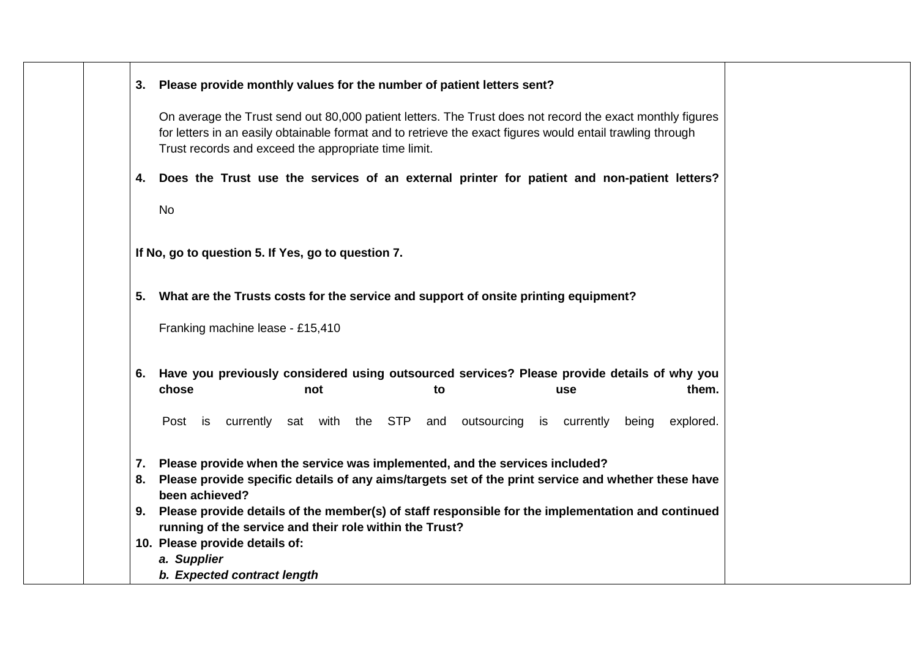| 3. Please provide monthly values for the number of patient letters sent?                                                                                                                                                                                                        |
|---------------------------------------------------------------------------------------------------------------------------------------------------------------------------------------------------------------------------------------------------------------------------------|
| On average the Trust send out 80,000 patient letters. The Trust does not record the exact monthly figures<br>for letters in an easily obtainable format and to retrieve the exact figures would entail trawling through<br>Trust records and exceed the appropriate time limit. |
| 4. Does the Trust use the services of an external printer for patient and non-patient letters?                                                                                                                                                                                  |
| <b>No</b>                                                                                                                                                                                                                                                                       |
| If No, go to question 5. If Yes, go to question 7.                                                                                                                                                                                                                              |
| 5. What are the Trusts costs for the service and support of onsite printing equipment?                                                                                                                                                                                          |
| Franking machine lease - £15,410                                                                                                                                                                                                                                                |
| 6. Have you previously considered using outsourced services? Please provide details of why you<br>chose<br>them.<br>not<br>to<br>use                                                                                                                                            |
| Post is currently sat with the STP<br>and outsourcing<br>is currently<br>explored.<br>being                                                                                                                                                                                     |
| 7. Please provide when the service was implemented, and the services included?<br>8. Please provide specific details of any aims/targets set of the print service and whether these have<br>been achieved?                                                                      |
| 9. Please provide details of the member(s) of staff responsible for the implementation and continued<br>running of the service and their role within the Trust?                                                                                                                 |
|                                                                                                                                                                                                                                                                                 |
| 10. Please provide details of:<br>a. Supplier                                                                                                                                                                                                                                   |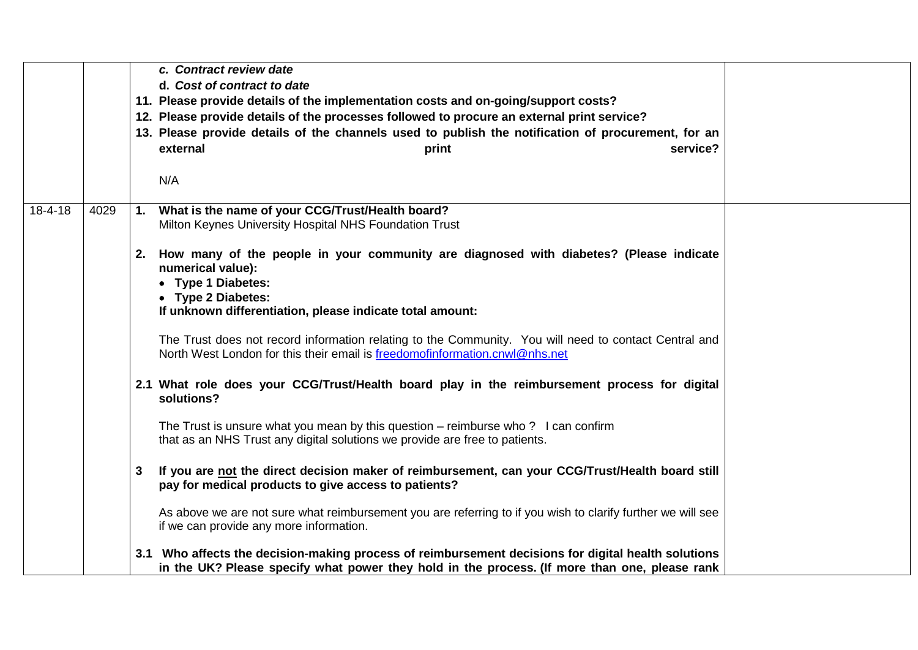|               |      |                | c. Contract review date                                                                                                                                             |  |
|---------------|------|----------------|---------------------------------------------------------------------------------------------------------------------------------------------------------------------|--|
|               |      |                | d. Cost of contract to date                                                                                                                                         |  |
|               |      |                | 11. Please provide details of the implementation costs and on-going/support costs?                                                                                  |  |
|               |      |                | 12. Please provide details of the processes followed to procure an external print service?                                                                          |  |
|               |      |                | 13. Please provide details of the channels used to publish the notification of procurement, for an                                                                  |  |
|               |      |                | external<br>service?<br>print                                                                                                                                       |  |
|               |      |                |                                                                                                                                                                     |  |
|               |      |                | N/A                                                                                                                                                                 |  |
|               |      |                |                                                                                                                                                                     |  |
| $18 - 4 - 18$ | 4029 | 1.             | What is the name of your CCG/Trust/Health board?                                                                                                                    |  |
|               |      |                | Milton Keynes University Hospital NHS Foundation Trust                                                                                                              |  |
|               |      |                |                                                                                                                                                                     |  |
|               |      |                | 2. How many of the people in your community are diagnosed with diabetes? (Please indicate                                                                           |  |
|               |      |                | numerical value):<br>• Type 1 Diabetes:                                                                                                                             |  |
|               |      |                | • Type 2 Diabetes:                                                                                                                                                  |  |
|               |      |                | If unknown differentiation, please indicate total amount:                                                                                                           |  |
|               |      |                |                                                                                                                                                                     |  |
|               |      |                | The Trust does not record information relating to the Community. You will need to contact Central and                                                               |  |
|               |      |                | North West London for this their email is freedomofinformation.cnwl@nhs.net                                                                                         |  |
|               |      |                |                                                                                                                                                                     |  |
|               |      |                | 2.1 What role does your CCG/Trust/Health board play in the reimbursement process for digital                                                                        |  |
|               |      |                | solutions?                                                                                                                                                          |  |
|               |      |                |                                                                                                                                                                     |  |
|               |      |                | The Trust is unsure what you mean by this question $-$ reimburse who ? I can confirm<br>that as an NHS Trust any digital solutions we provide are free to patients. |  |
|               |      |                |                                                                                                                                                                     |  |
|               |      | $3\phantom{a}$ | If you are not the direct decision maker of reimbursement, can your CCG/Trust/Health board still                                                                    |  |
|               |      |                | pay for medical products to give access to patients?                                                                                                                |  |
|               |      |                |                                                                                                                                                                     |  |
|               |      |                | As above we are not sure what reimbursement you are referring to if you wish to clarify further we will see                                                         |  |
|               |      |                | if we can provide any more information.                                                                                                                             |  |
|               |      |                |                                                                                                                                                                     |  |
|               |      |                | 3.1 Who affects the decision-making process of reimbursement decisions for digital health solutions                                                                 |  |
|               |      |                | in the UK? Please specify what power they hold in the process. (If more than one, please rank                                                                       |  |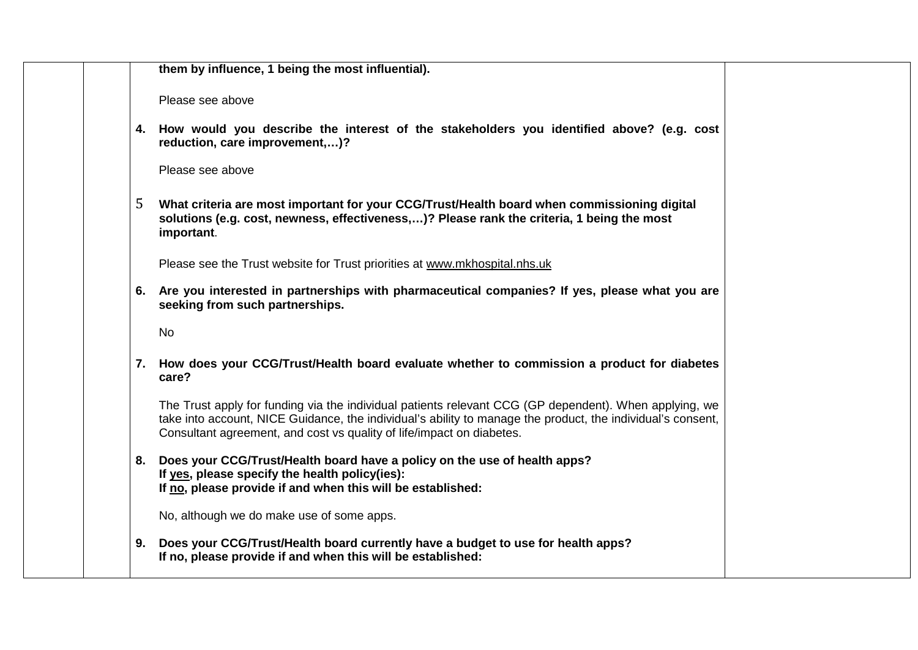|  | them by influence, 1 being the most influential).                                                                                                                                                                                                                                              |  |
|--|------------------------------------------------------------------------------------------------------------------------------------------------------------------------------------------------------------------------------------------------------------------------------------------------|--|
|  |                                                                                                                                                                                                                                                                                                |  |
|  | Please see above                                                                                                                                                                                                                                                                               |  |
|  | 4. How would you describe the interest of the stakeholders you identified above? (e.g. cost<br>reduction, care improvement,)?                                                                                                                                                                  |  |
|  | Please see above                                                                                                                                                                                                                                                                               |  |
|  | 5<br>What criteria are most important for your CCG/Trust/Health board when commissioning digital<br>solutions (e.g. cost, newness, effectiveness,)? Please rank the criteria, 1 being the most<br>important.                                                                                   |  |
|  | Please see the Trust website for Trust priorities at www.mkhospital.nhs.uk                                                                                                                                                                                                                     |  |
|  | 6. Are you interested in partnerships with pharmaceutical companies? If yes, please what you are<br>seeking from such partnerships.                                                                                                                                                            |  |
|  | <b>No</b>                                                                                                                                                                                                                                                                                      |  |
|  | 7. How does your CCG/Trust/Health board evaluate whether to commission a product for diabetes<br>care?                                                                                                                                                                                         |  |
|  | The Trust apply for funding via the individual patients relevant CCG (GP dependent). When applying, we<br>take into account, NICE Guidance, the individual's ability to manage the product, the individual's consent,<br>Consultant agreement, and cost vs quality of life/impact on diabetes. |  |
|  | 8. Does your CCG/Trust/Health board have a policy on the use of health apps?<br>If yes, please specify the health policy(ies):<br>If no, please provide if and when this will be established:                                                                                                  |  |
|  | No, although we do make use of some apps.                                                                                                                                                                                                                                                      |  |
|  | Does your CCG/Trust/Health board currently have a budget to use for health apps?<br>9.<br>If no, please provide if and when this will be established:                                                                                                                                          |  |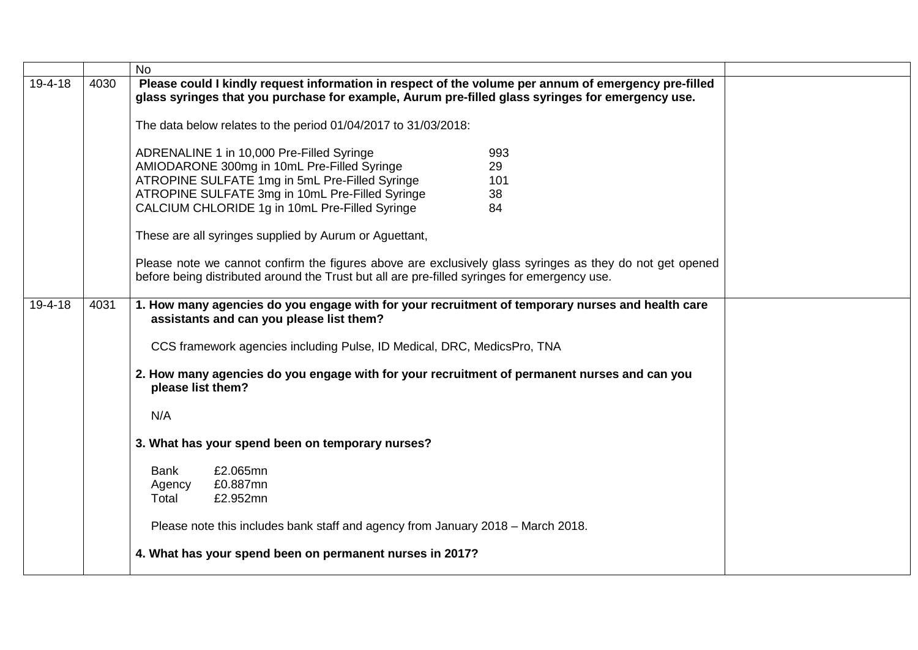|         |      | <b>No</b>                                                                                                |
|---------|------|----------------------------------------------------------------------------------------------------------|
| 19-4-18 | 4030 | Please could I kindly request information in respect of the volume per annum of emergency pre-filled     |
|         |      | glass syringes that you purchase for example, Aurum pre-filled glass syringes for emergency use.         |
|         |      |                                                                                                          |
|         |      | The data below relates to the period 01/04/2017 to 31/03/2018:                                           |
|         |      | ADRENALINE 1 in 10,000 Pre-Filled Syringe<br>993                                                         |
|         |      | AMIODARONE 300mg in 10mL Pre-Filled Syringe<br>29                                                        |
|         |      | ATROPINE SULFATE 1mg in 5mL Pre-Filled Syringe<br>101                                                    |
|         |      | ATROPINE SULFATE 3mg in 10mL Pre-Filled Syringe<br>38                                                    |
|         |      | CALCIUM CHLORIDE 1g in 10mL Pre-Filled Syringe<br>84                                                     |
|         |      |                                                                                                          |
|         |      | These are all syringes supplied by Aurum or Aguettant,                                                   |
|         |      |                                                                                                          |
|         |      | Please note we cannot confirm the figures above are exclusively glass syringes as they do not get opened |
|         |      | before being distributed around the Trust but all are pre-filled syringes for emergency use.             |
|         |      |                                                                                                          |
| 19-4-18 | 4031 | 1. How many agencies do you engage with for your recruitment of temporary nurses and health care         |
|         |      | assistants and can you please list them?                                                                 |
|         |      | CCS framework agencies including Pulse, ID Medical, DRC, MedicsPro, TNA                                  |
|         |      |                                                                                                          |
|         |      | 2. How many agencies do you engage with for your recruitment of permanent nurses and can you             |
|         |      | please list them?                                                                                        |
|         |      |                                                                                                          |
|         |      | N/A                                                                                                      |
|         |      |                                                                                                          |
|         |      | 3. What has your spend been on temporary nurses?                                                         |
|         |      |                                                                                                          |
|         |      | £2.065mn<br>Bank<br>£0.887mn                                                                             |
|         |      | Agency<br>£2.952mn<br>Total                                                                              |
|         |      |                                                                                                          |
|         |      | Please note this includes bank staff and agency from January 2018 - March 2018.                          |
|         |      |                                                                                                          |
|         |      | 4. What has your spend been on permanent nurses in 2017?                                                 |
|         |      |                                                                                                          |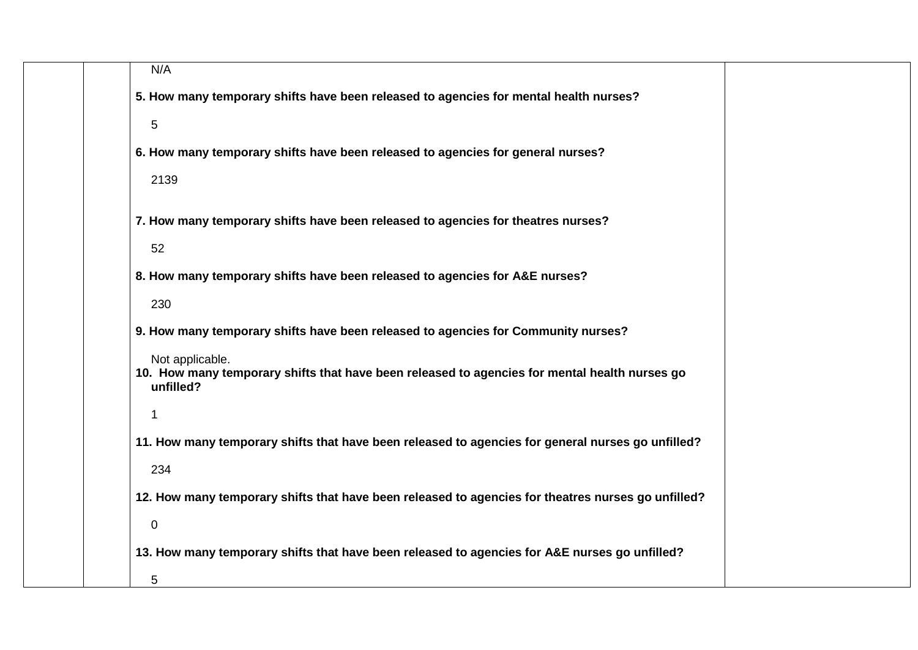| N/A                                                                                                                           |
|-------------------------------------------------------------------------------------------------------------------------------|
| 5. How many temporary shifts have been released to agencies for mental health nurses?                                         |
| 5                                                                                                                             |
| 6. How many temporary shifts have been released to agencies for general nurses?                                               |
| 2139                                                                                                                          |
| 7. How many temporary shifts have been released to agencies for theatres nurses?                                              |
| 52                                                                                                                            |
| 8. How many temporary shifts have been released to agencies for A&E nurses?                                                   |
| 230                                                                                                                           |
| 9. How many temporary shifts have been released to agencies for Community nurses?                                             |
| Not applicable.<br>10. How many temporary shifts that have been released to agencies for mental health nurses go<br>unfilled? |
| 1                                                                                                                             |
| 11. How many temporary shifts that have been released to agencies for general nurses go unfilled?                             |
| 234                                                                                                                           |
| 12. How many temporary shifts that have been released to agencies for theatres nurses go unfilled?                            |
| $\pmb{0}$                                                                                                                     |
| 13. How many temporary shifts that have been released to agencies for A&E nurses go unfilled?                                 |
| 5                                                                                                                             |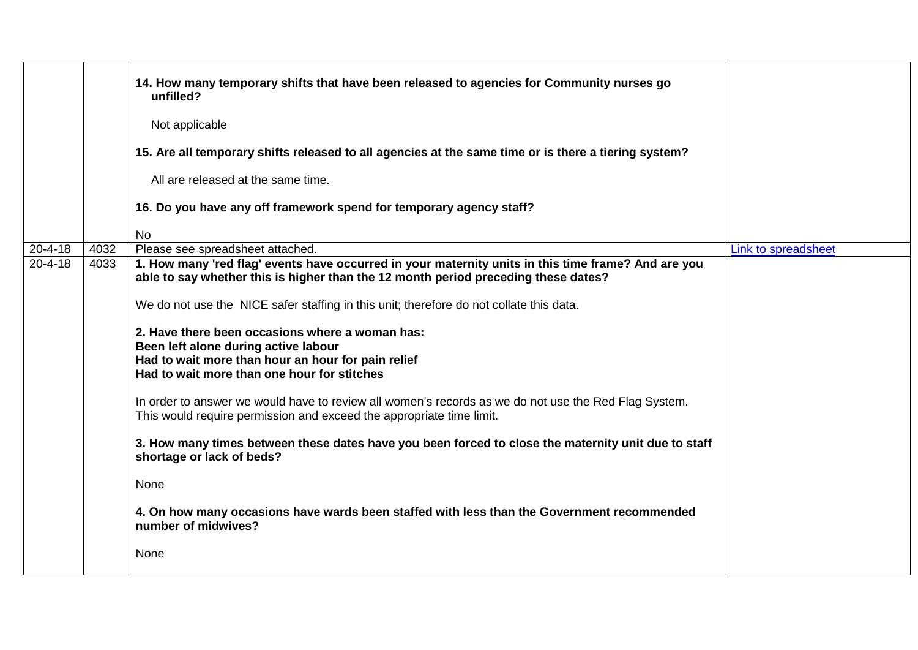|               |      | 14. How many temporary shifts that have been released to agencies for Community nurses go<br>unfilled?<br>Not applicable<br>15. Are all temporary shifts released to all agencies at the same time or is there a tiering system?<br>All are released at the same time.<br>16. Do you have any off framework spend for temporary agency staff?<br><b>No</b>                                                                                                                                                                                                                                                                                                                                                                                                                                                                                                                                                                                    |                     |
|---------------|------|-----------------------------------------------------------------------------------------------------------------------------------------------------------------------------------------------------------------------------------------------------------------------------------------------------------------------------------------------------------------------------------------------------------------------------------------------------------------------------------------------------------------------------------------------------------------------------------------------------------------------------------------------------------------------------------------------------------------------------------------------------------------------------------------------------------------------------------------------------------------------------------------------------------------------------------------------|---------------------|
| $20 - 4 - 18$ | 4032 | Please see spreadsheet attached.                                                                                                                                                                                                                                                                                                                                                                                                                                                                                                                                                                                                                                                                                                                                                                                                                                                                                                              | Link to spreadsheet |
| $20 - 4 - 18$ | 4033 | 1. How many 'red flag' events have occurred in your maternity units in this time frame? And are you<br>able to say whether this is higher than the 12 month period preceding these dates?<br>We do not use the NICE safer staffing in this unit; therefore do not collate this data.<br>2. Have there been occasions where a woman has:<br>Been left alone during active labour<br>Had to wait more than hour an hour for pain relief<br>Had to wait more than one hour for stitches<br>In order to answer we would have to review all women's records as we do not use the Red Flag System.<br>This would require permission and exceed the appropriate time limit.<br>3. How many times between these dates have you been forced to close the maternity unit due to staff<br>shortage or lack of beds?<br>None<br>4. On how many occasions have wards been staffed with less than the Government recommended<br>number of midwives?<br>None |                     |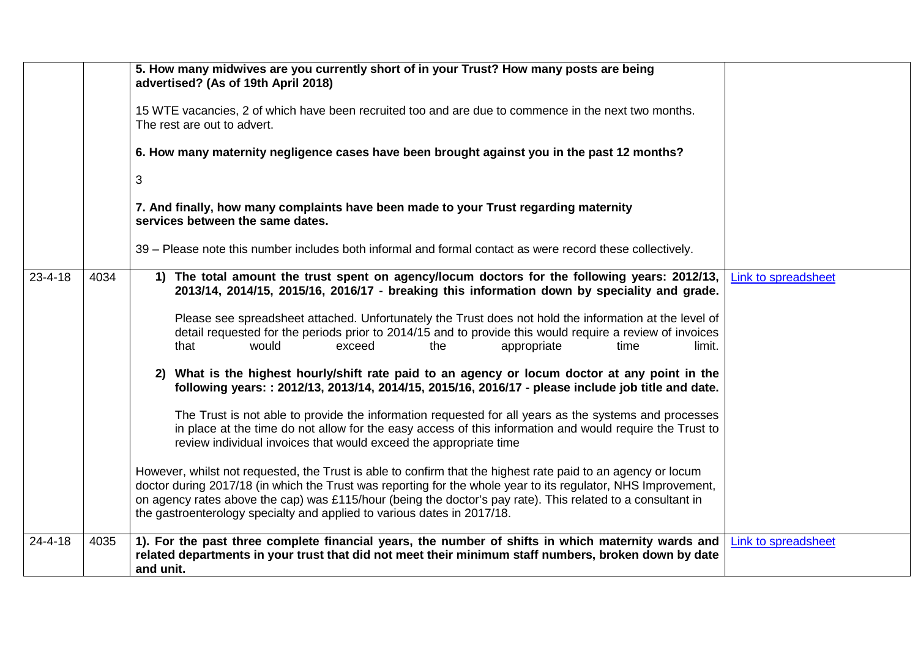|                       | 5. How many midwives are you currently short of in your Trust? How many posts are being<br>advertised? (As of 19th April 2018)<br>15 WTE vacancies, 2 of which have been recruited too and are due to commence in the next two months.<br>The rest are out to advert.<br>6. How many maternity negligence cases have been brought against you in the past 12 months?<br>3<br>7. And finally, how many complaints have been made to your Trust regarding maternity<br>services between the same dates.<br>39 – Please note this number includes both informal and formal contact as were record these collectively.                                                                                                                                                                                                                                                                                                                                                                                                                                                                                                                                                                                                                                                                                                                                                                                                   |                     |
|-----------------------|----------------------------------------------------------------------------------------------------------------------------------------------------------------------------------------------------------------------------------------------------------------------------------------------------------------------------------------------------------------------------------------------------------------------------------------------------------------------------------------------------------------------------------------------------------------------------------------------------------------------------------------------------------------------------------------------------------------------------------------------------------------------------------------------------------------------------------------------------------------------------------------------------------------------------------------------------------------------------------------------------------------------------------------------------------------------------------------------------------------------------------------------------------------------------------------------------------------------------------------------------------------------------------------------------------------------------------------------------------------------------------------------------------------------|---------------------|
| $23 - 4 - 18$<br>4034 | 1) The total amount the trust spent on agency/locum doctors for the following years: 2012/13,<br>2013/14, 2014/15, 2015/16, 2016/17 - breaking this information down by speciality and grade.<br>Please see spreadsheet attached. Unfortunately the Trust does not hold the information at the level of<br>detail requested for the periods prior to 2014/15 and to provide this would require a review of invoices<br>would<br>that<br>exceed<br>appropriate<br>the<br>time<br>limit.<br>2) What is the highest hourly/shift rate paid to an agency or locum doctor at any point in the<br>following years: : 2012/13, 2013/14, 2014/15, 2015/16, 2016/17 - please include job title and date.<br>The Trust is not able to provide the information requested for all years as the systems and processes<br>in place at the time do not allow for the easy access of this information and would require the Trust to<br>review individual invoices that would exceed the appropriate time<br>However, whilst not requested, the Trust is able to confirm that the highest rate paid to an agency or locum<br>doctor during 2017/18 (in which the Trust was reporting for the whole year to its regulator, NHS Improvement,<br>on agency rates above the cap) was £115/hour (being the doctor's pay rate). This related to a consultant in<br>the gastroenterology specialty and applied to various dates in 2017/18. | Link to spreadsheet |
| $24 - 4 - 18$<br>4035 | 1). For the past three complete financial years, the number of shifts in which maternity wards and<br>related departments in your trust that did not meet their minimum staff numbers, broken down by date<br>and unit.                                                                                                                                                                                                                                                                                                                                                                                                                                                                                                                                                                                                                                                                                                                                                                                                                                                                                                                                                                                                                                                                                                                                                                                              | Link to spreadsheet |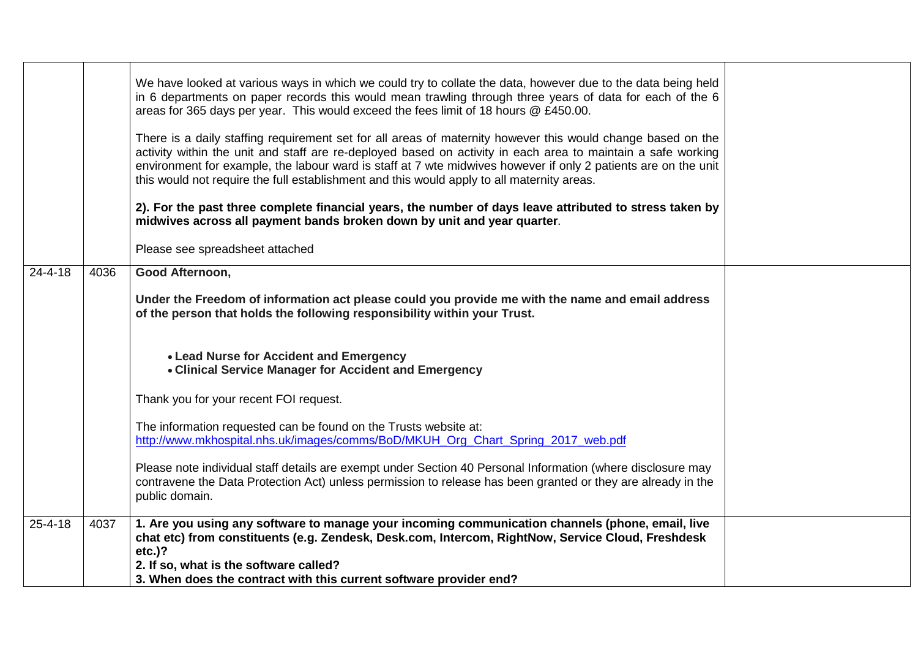|               |      | We have looked at various ways in which we could try to collate the data, however due to the data being held<br>in 6 departments on paper records this would mean trawling through three years of data for each of the 6<br>areas for 365 days per year. This would exceed the fees limit of 18 hours @ £450.00.<br>There is a daily staffing requirement set for all areas of maternity however this would change based on the<br>activity within the unit and staff are re-deployed based on activity in each area to maintain a safe working<br>environment for example, the labour ward is staff at 7 wte midwives however if only 2 patients are on the unit<br>this would not require the full establishment and this would apply to all maternity areas.<br>2). For the past three complete financial years, the number of days leave attributed to stress taken by<br>midwives across all payment bands broken down by unit and year quarter.<br>Please see spreadsheet attached |  |
|---------------|------|------------------------------------------------------------------------------------------------------------------------------------------------------------------------------------------------------------------------------------------------------------------------------------------------------------------------------------------------------------------------------------------------------------------------------------------------------------------------------------------------------------------------------------------------------------------------------------------------------------------------------------------------------------------------------------------------------------------------------------------------------------------------------------------------------------------------------------------------------------------------------------------------------------------------------------------------------------------------------------------|--|
| $24 - 4 - 18$ | 4036 | Good Afternoon,                                                                                                                                                                                                                                                                                                                                                                                                                                                                                                                                                                                                                                                                                                                                                                                                                                                                                                                                                                          |  |
|               |      | Under the Freedom of information act please could you provide me with the name and email address<br>of the person that holds the following responsibility within your Trust.                                                                                                                                                                                                                                                                                                                                                                                                                                                                                                                                                                                                                                                                                                                                                                                                             |  |
|               |      | • Lead Nurse for Accident and Emergency<br>• Clinical Service Manager for Accident and Emergency                                                                                                                                                                                                                                                                                                                                                                                                                                                                                                                                                                                                                                                                                                                                                                                                                                                                                         |  |
|               |      | Thank you for your recent FOI request.                                                                                                                                                                                                                                                                                                                                                                                                                                                                                                                                                                                                                                                                                                                                                                                                                                                                                                                                                   |  |
|               |      | The information requested can be found on the Trusts website at:<br>http://www.mkhospital.nhs.uk/images/comms/BoD/MKUH_Org_Chart_Spring_2017_web.pdf                                                                                                                                                                                                                                                                                                                                                                                                                                                                                                                                                                                                                                                                                                                                                                                                                                     |  |
|               |      | Please note individual staff details are exempt under Section 40 Personal Information (where disclosure may<br>contravene the Data Protection Act) unless permission to release has been granted or they are already in the<br>public domain.                                                                                                                                                                                                                                                                                                                                                                                                                                                                                                                                                                                                                                                                                                                                            |  |
| $25 - 4 - 18$ | 4037 | 1. Are you using any software to manage your incoming communication channels (phone, email, live<br>chat etc) from constituents (e.g. Zendesk, Desk.com, Intercom, RightNow, Service Cloud, Freshdesk<br>$etc.$ )?                                                                                                                                                                                                                                                                                                                                                                                                                                                                                                                                                                                                                                                                                                                                                                       |  |
|               |      | 2. If so, what is the software called?                                                                                                                                                                                                                                                                                                                                                                                                                                                                                                                                                                                                                                                                                                                                                                                                                                                                                                                                                   |  |
|               |      | 3. When does the contract with this current software provider end?                                                                                                                                                                                                                                                                                                                                                                                                                                                                                                                                                                                                                                                                                                                                                                                                                                                                                                                       |  |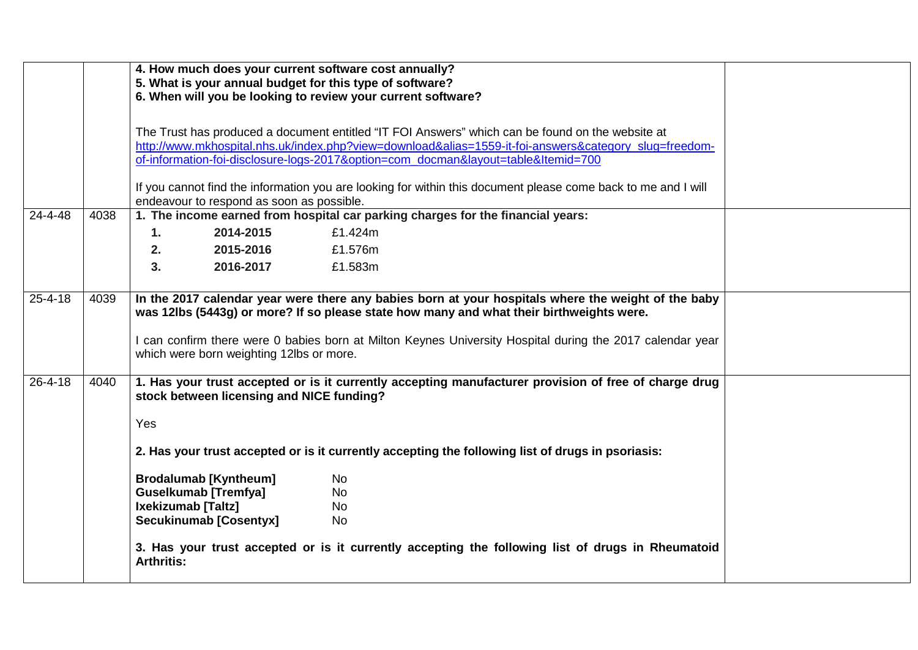|               |                                                                                                                                                            | 4. How much does your current software cost annually?<br>5. What is your annual budget for this type of software?<br>6. When will you be looking to review your current software?                                                                                                                                                                        |  |  |  |
|---------------|------------------------------------------------------------------------------------------------------------------------------------------------------------|----------------------------------------------------------------------------------------------------------------------------------------------------------------------------------------------------------------------------------------------------------------------------------------------------------------------------------------------------------|--|--|--|
|               |                                                                                                                                                            | The Trust has produced a document entitled "IT FOI Answers" which can be found on the website at<br>http://www.mkhospital.nhs.uk/index.php?view=download&alias=1559-it-foi-answers&category_slug=freedom-<br>of-information-foi-disclosure-logs-2017&option=com docman&layout=table&Itemid=700                                                           |  |  |  |
|               |                                                                                                                                                            | If you cannot find the information you are looking for within this document please come back to me and I will<br>endeavour to respond as soon as possible.                                                                                                                                                                                               |  |  |  |
| 24-4-48       | 4038                                                                                                                                                       | 1. The income earned from hospital car parking charges for the financial years:                                                                                                                                                                                                                                                                          |  |  |  |
|               |                                                                                                                                                            | 1.<br>2014-2015<br>£1.424m                                                                                                                                                                                                                                                                                                                               |  |  |  |
|               |                                                                                                                                                            | 2.<br>2015-2016<br>£1.576m                                                                                                                                                                                                                                                                                                                               |  |  |  |
|               |                                                                                                                                                            | 3.<br>2016-2017<br>£1.583m                                                                                                                                                                                                                                                                                                                               |  |  |  |
| $25 - 4 - 18$ | 4039                                                                                                                                                       | In the 2017 calendar year were there any babies born at your hospitals where the weight of the baby<br>was 12lbs (5443g) or more? If so please state how many and what their birthweights were.<br>I can confirm there were 0 babies born at Milton Keynes University Hospital during the 2017 calendar year<br>which were born weighting 12lbs or more. |  |  |  |
| $26 - 4 - 18$ | 1. Has your trust accepted or is it currently accepting manufacturer provision of free of charge drug<br>4040<br>stock between licensing and NICE funding? |                                                                                                                                                                                                                                                                                                                                                          |  |  |  |
|               |                                                                                                                                                            | Yes                                                                                                                                                                                                                                                                                                                                                      |  |  |  |
|               |                                                                                                                                                            | 2. Has your trust accepted or is it currently accepting the following list of drugs in psoriasis:                                                                                                                                                                                                                                                        |  |  |  |
|               |                                                                                                                                                            | <b>Brodalumab [Kyntheum]</b><br><b>No</b>                                                                                                                                                                                                                                                                                                                |  |  |  |
|               |                                                                                                                                                            | <b>Guselkumab [Tremfya]</b><br>No                                                                                                                                                                                                                                                                                                                        |  |  |  |
|               |                                                                                                                                                            | Ixekizumab [Taltz]<br><b>No</b>                                                                                                                                                                                                                                                                                                                          |  |  |  |
|               |                                                                                                                                                            | Secukinumab [Cosentyx]<br><b>No</b>                                                                                                                                                                                                                                                                                                                      |  |  |  |
|               |                                                                                                                                                            | 3. Has your trust accepted or is it currently accepting the following list of drugs in Rheumatoid<br><b>Arthritis:</b>                                                                                                                                                                                                                                   |  |  |  |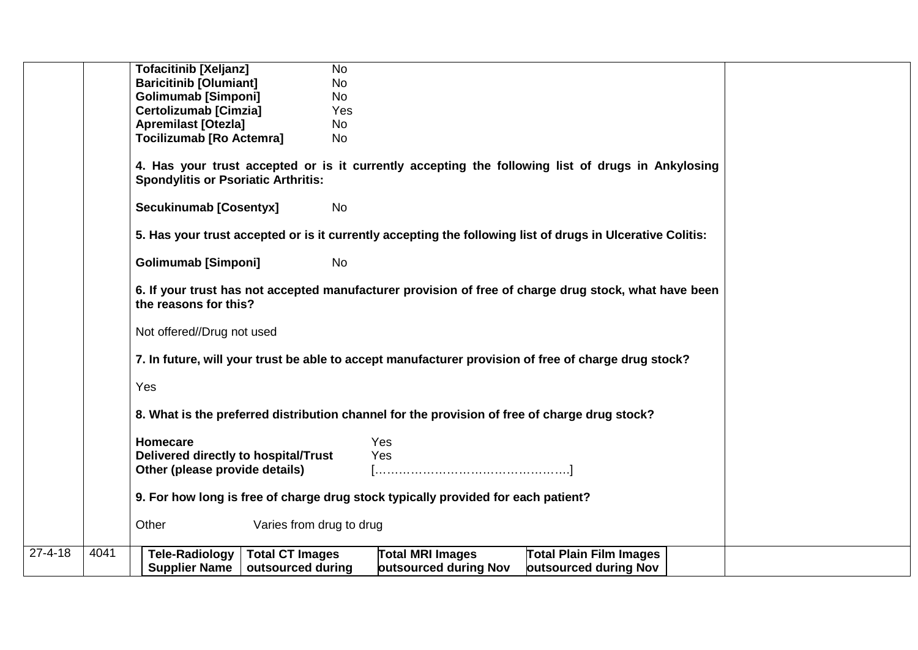|               |      | <b>Tofacitinib [Xeljanz]</b>                    | <b>No</b>                                                                                                  |
|---------------|------|-------------------------------------------------|------------------------------------------------------------------------------------------------------------|
|               |      | <b>Baricitinib [Olumiant]</b>                   | <b>No</b>                                                                                                  |
|               |      | <b>Golimumab [Simponi]</b>                      | <b>No</b>                                                                                                  |
|               |      | <b>Certolizumab [Cimzia]</b>                    | Yes                                                                                                        |
|               |      | <b>Apremilast [Otezla]</b>                      | <b>No</b>                                                                                                  |
|               |      | <b>Tocilizumab [Ro Actemra]</b>                 | <b>No</b>                                                                                                  |
|               |      | <b>Spondylitis or Psoriatic Arthritis:</b>      | 4. Has your trust accepted or is it currently accepting the following list of drugs in Ankylosing          |
|               |      | <b>Secukinumab [Cosentyx]</b>                   | No                                                                                                         |
|               |      |                                                 | 5. Has your trust accepted or is it currently accepting the following list of drugs in Ulcerative Colitis: |
|               |      | <b>Golimumab [Simponi]</b>                      | <b>No</b>                                                                                                  |
|               |      | the reasons for this?                           | 6. If your trust has not accepted manufacturer provision of free of charge drug stock, what have been      |
|               |      | Not offered//Drug not used                      |                                                                                                            |
|               |      |                                                 | 7. In future, will your trust be able to accept manufacturer provision of free of charge drug stock?       |
|               |      | Yes                                             |                                                                                                            |
|               |      |                                                 | 8. What is the preferred distribution channel for the provision of free of charge drug stock?              |
|               |      | Homecare                                        | Yes                                                                                                        |
|               |      | Delivered directly to hospital/Trust            | Yes                                                                                                        |
|               |      | Other (please provide details)                  |                                                                                                            |
|               |      |                                                 |                                                                                                            |
|               |      |                                                 | 9. For how long is free of charge drug stock typically provided for each patient?                          |
|               |      | Other<br>Varies from drug to drug               |                                                                                                            |
| $27 - 4 - 18$ | 4041 | <b>Total CT Images</b><br><b>Tele-Radiology</b> | <b>Total MRI Images</b><br><b>Total Plain Film Images</b>                                                  |
|               |      | <b>Supplier Name</b><br>outsourced during       | outsourced during Nov<br>outsourced during Nov                                                             |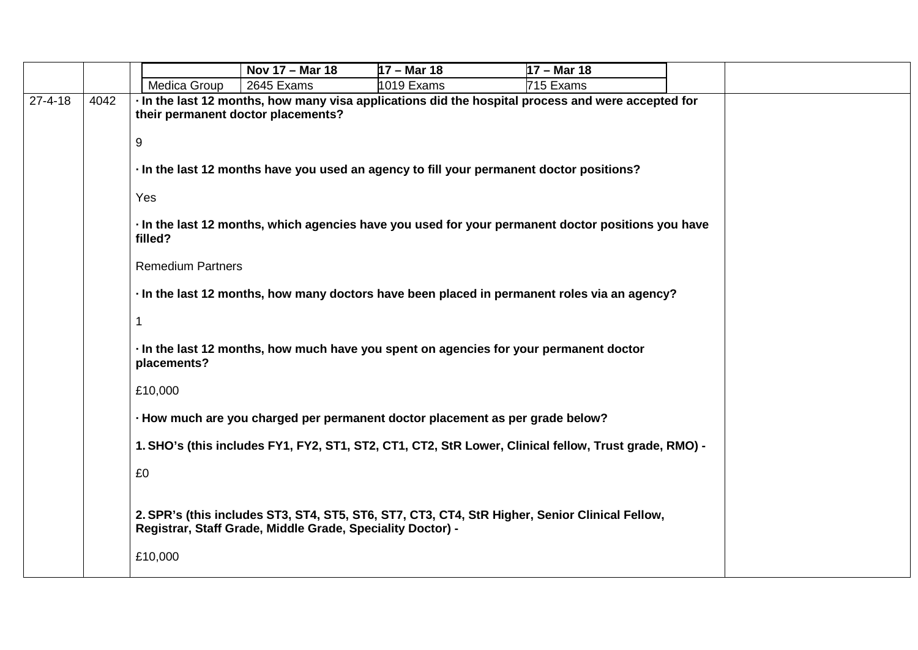|               |      |                          | Nov 17 - Mar 18                                                               | $17 - $ Mar 18 | $17 - $ Mar 18                                                                                        |  |
|---------------|------|--------------------------|-------------------------------------------------------------------------------|----------------|-------------------------------------------------------------------------------------------------------|--|
|               |      | Medica Group             | 2645 Exams                                                                    | 1019 Exams     | 715 Exams                                                                                             |  |
| $27 - 4 - 18$ | 4042 |                          | their permanent doctor placements?                                            |                | In the last 12 months, how many visa applications did the hospital process and were accepted for      |  |
|               |      | $\boldsymbol{9}$         |                                                                               |                |                                                                                                       |  |
|               |      |                          |                                                                               |                | In the last 12 months have you used an agency to fill your permanent doctor positions?                |  |
|               |      | Yes                      |                                                                               |                |                                                                                                       |  |
|               |      | filled?                  |                                                                               |                | In the last 12 months, which agencies have you used for your permanent doctor positions you have      |  |
|               |      | <b>Remedium Partners</b> |                                                                               |                |                                                                                                       |  |
|               |      |                          |                                                                               |                | In the last 12 months, how many doctors have been placed in permanent roles via an agency?            |  |
|               |      | $\mathbf 1$              |                                                                               |                |                                                                                                       |  |
|               |      | placements?              |                                                                               |                | In the last 12 months, how much have you spent on agencies for your permanent doctor                  |  |
|               |      | £10,000                  |                                                                               |                |                                                                                                       |  |
|               |      |                          | - How much are you charged per permanent doctor placement as per grade below? |                |                                                                                                       |  |
|               |      |                          |                                                                               |                | 1. SHO's (this includes FY1, FY2, ST1, ST2, CT1, CT2, StR Lower, Clinical fellow, Trust grade, RMO) - |  |
|               |      | £0                       |                                                                               |                |                                                                                                       |  |
|               |      |                          | Registrar, Staff Grade, Middle Grade, Speciality Doctor) -                    |                | 2. SPR's (this includes ST3, ST4, ST5, ST6, ST7, CT3, CT4, StR Higher, Senior Clinical Fellow,        |  |
|               |      | £10,000                  |                                                                               |                |                                                                                                       |  |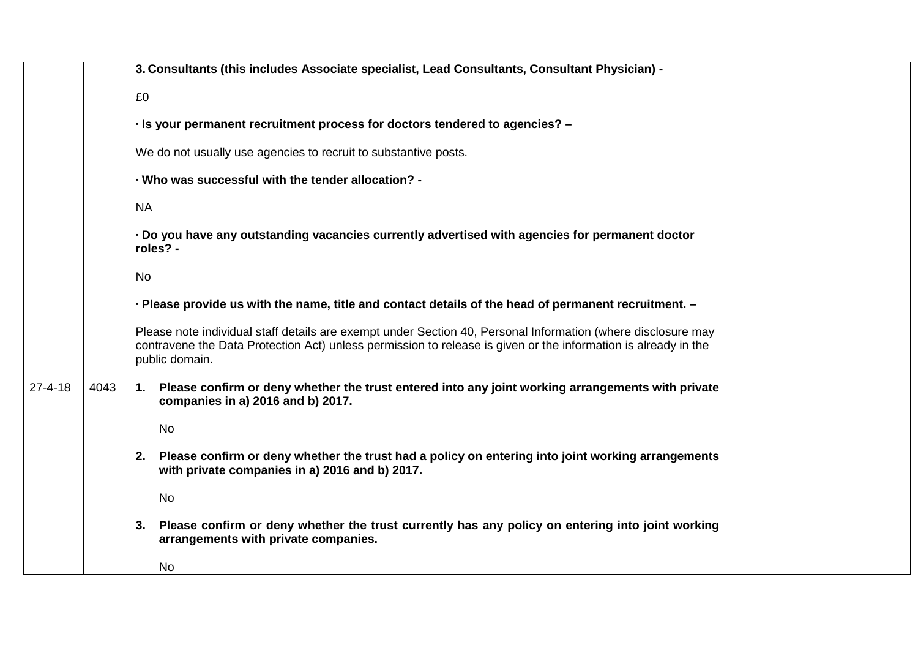|               |      | 3. Consultants (this includes Associate specialist, Lead Consultants, Consultant Physician) -                                                                                                                                                    |  |  |  |
|---------------|------|--------------------------------------------------------------------------------------------------------------------------------------------------------------------------------------------------------------------------------------------------|--|--|--|
|               |      | £0                                                                                                                                                                                                                                               |  |  |  |
|               |      | - Is your permanent recruitment process for doctors tendered to agencies? -                                                                                                                                                                      |  |  |  |
|               |      | We do not usually use agencies to recruit to substantive posts.                                                                                                                                                                                  |  |  |  |
|               |      | - Who was successful with the tender allocation? -                                                                                                                                                                                               |  |  |  |
|               |      | <b>NA</b>                                                                                                                                                                                                                                        |  |  |  |
|               |      | Do you have any outstanding vacancies currently advertised with agencies for permanent doctor<br>roles? -                                                                                                                                        |  |  |  |
|               |      | <b>No</b>                                                                                                                                                                                                                                        |  |  |  |
|               |      | - Please provide us with the name, title and contact details of the head of permanent recruitment. -                                                                                                                                             |  |  |  |
|               |      | Please note individual staff details are exempt under Section 40, Personal Information (where disclosure may<br>contravene the Data Protection Act) unless permission to release is given or the information is already in the<br>public domain. |  |  |  |
| $27 - 4 - 18$ | 4043 | Please confirm or deny whether the trust entered into any joint working arrangements with private<br>1.<br>companies in a) 2016 and b) 2017.                                                                                                     |  |  |  |
|               |      | No                                                                                                                                                                                                                                               |  |  |  |
|               |      | Please confirm or deny whether the trust had a policy on entering into joint working arrangements<br>2.<br>with private companies in a) 2016 and b) 2017.                                                                                        |  |  |  |
|               |      | No                                                                                                                                                                                                                                               |  |  |  |
|               |      | Please confirm or deny whether the trust currently has any policy on entering into joint working<br>3.<br>arrangements with private companies.                                                                                                   |  |  |  |
|               |      | No                                                                                                                                                                                                                                               |  |  |  |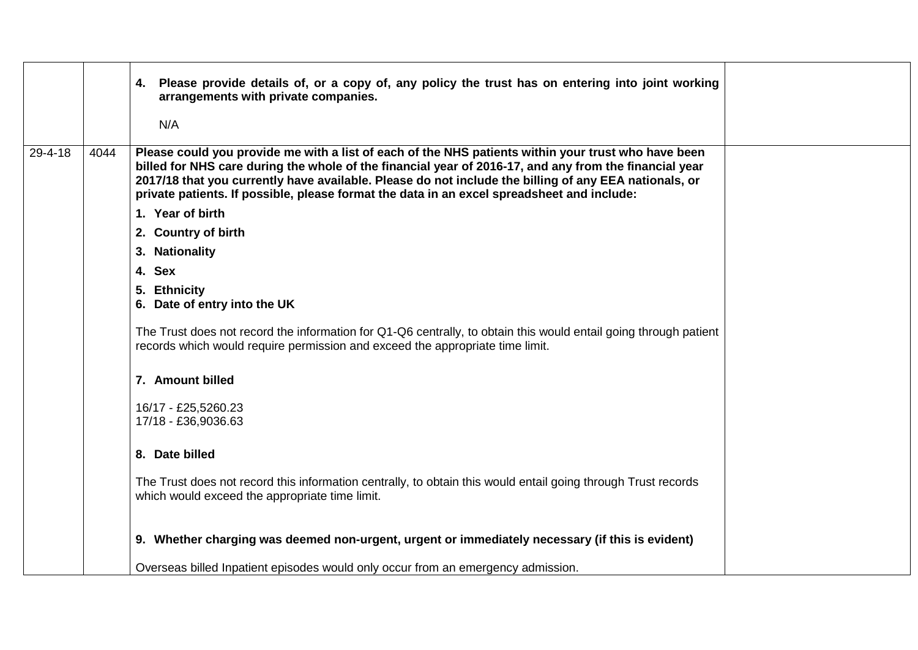|               |      | 4. Please provide details of, or a copy of, any policy the trust has on entering into joint working<br>arrangements with private companies.<br>N/A                                                                                                                                                                                                                                                                   |  |
|---------------|------|----------------------------------------------------------------------------------------------------------------------------------------------------------------------------------------------------------------------------------------------------------------------------------------------------------------------------------------------------------------------------------------------------------------------|--|
| $29 - 4 - 18$ | 4044 | Please could you provide me with a list of each of the NHS patients within your trust who have been<br>billed for NHS care during the whole of the financial year of 2016-17, and any from the financial year<br>2017/18 that you currently have available. Please do not include the billing of any EEA nationals, or<br>private patients. If possible, please format the data in an excel spreadsheet and include: |  |
|               |      | 1. Year of birth                                                                                                                                                                                                                                                                                                                                                                                                     |  |
|               |      | 2. Country of birth                                                                                                                                                                                                                                                                                                                                                                                                  |  |
|               |      | 3. Nationality                                                                                                                                                                                                                                                                                                                                                                                                       |  |
|               |      | 4. Sex                                                                                                                                                                                                                                                                                                                                                                                                               |  |
|               |      | 5. Ethnicity<br>6. Date of entry into the UK                                                                                                                                                                                                                                                                                                                                                                         |  |
|               |      | The Trust does not record the information for Q1-Q6 centrally, to obtain this would entail going through patient<br>records which would require permission and exceed the appropriate time limit.                                                                                                                                                                                                                    |  |
|               |      | 7. Amount billed                                                                                                                                                                                                                                                                                                                                                                                                     |  |
|               |      | 16/17 - £25,5260.23<br>17/18 - £36,9036.63                                                                                                                                                                                                                                                                                                                                                                           |  |
|               |      | 8. Date billed                                                                                                                                                                                                                                                                                                                                                                                                       |  |
|               |      | The Trust does not record this information centrally, to obtain this would entail going through Trust records<br>which would exceed the appropriate time limit.                                                                                                                                                                                                                                                      |  |
|               |      | 9. Whether charging was deemed non-urgent, urgent or immediately necessary (if this is evident)                                                                                                                                                                                                                                                                                                                      |  |
|               |      | Overseas billed Inpatient episodes would only occur from an emergency admission.                                                                                                                                                                                                                                                                                                                                     |  |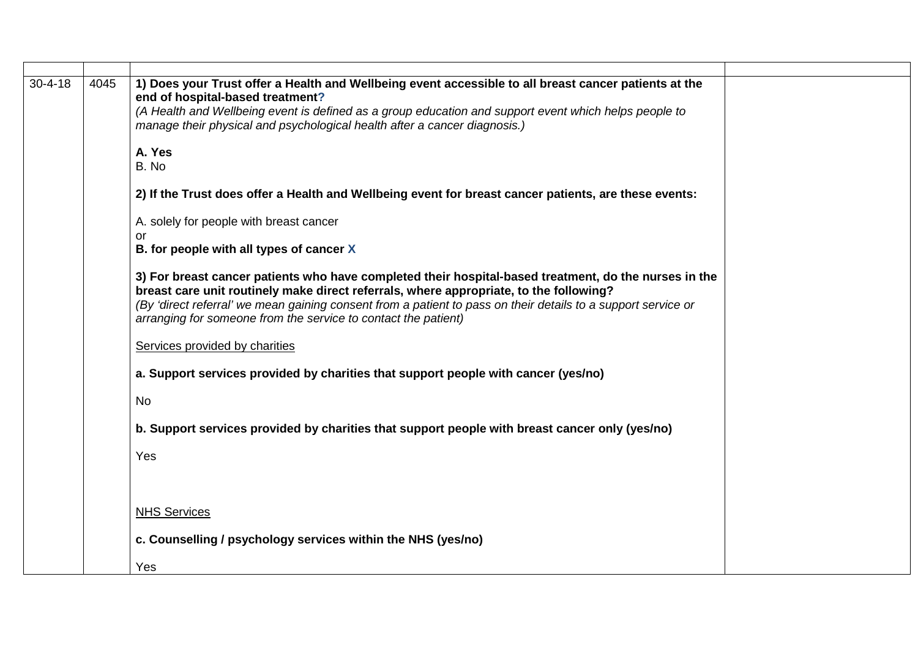| $30 - 4 - 18$ | 4045 | 1) Does your Trust offer a Health and Wellbeing event accessible to all breast cancer patients at the<br>end of hospital-based treatment?<br>(A Health and Wellbeing event is defined as a group education and support event which helps people to<br>manage their physical and psychological health after a cancer diagnosis.)                                                    |
|---------------|------|------------------------------------------------------------------------------------------------------------------------------------------------------------------------------------------------------------------------------------------------------------------------------------------------------------------------------------------------------------------------------------|
|               |      | A. Yes<br>B. No                                                                                                                                                                                                                                                                                                                                                                    |
|               |      | 2) If the Trust does offer a Health and Wellbeing event for breast cancer patients, are these events:                                                                                                                                                                                                                                                                              |
|               |      | A. solely for people with breast cancer<br><b>or</b>                                                                                                                                                                                                                                                                                                                               |
|               |      | B. for people with all types of cancer X                                                                                                                                                                                                                                                                                                                                           |
|               |      | 3) For breast cancer patients who have completed their hospital-based treatment, do the nurses in the<br>breast care unit routinely make direct referrals, where appropriate, to the following?<br>(By 'direct referral' we mean gaining consent from a patient to pass on their details to a support service or<br>arranging for someone from the service to contact the patient) |
|               |      | Services provided by charities                                                                                                                                                                                                                                                                                                                                                     |
|               |      | a. Support services provided by charities that support people with cancer (yes/no)                                                                                                                                                                                                                                                                                                 |
|               |      | <b>No</b>                                                                                                                                                                                                                                                                                                                                                                          |
|               |      | b. Support services provided by charities that support people with breast cancer only (yes/no)                                                                                                                                                                                                                                                                                     |
|               |      | Yes                                                                                                                                                                                                                                                                                                                                                                                |
|               |      |                                                                                                                                                                                                                                                                                                                                                                                    |
|               |      | <b>NHS Services</b>                                                                                                                                                                                                                                                                                                                                                                |
|               |      | c. Counselling / psychology services within the NHS (yes/no)                                                                                                                                                                                                                                                                                                                       |
|               |      | Yes                                                                                                                                                                                                                                                                                                                                                                                |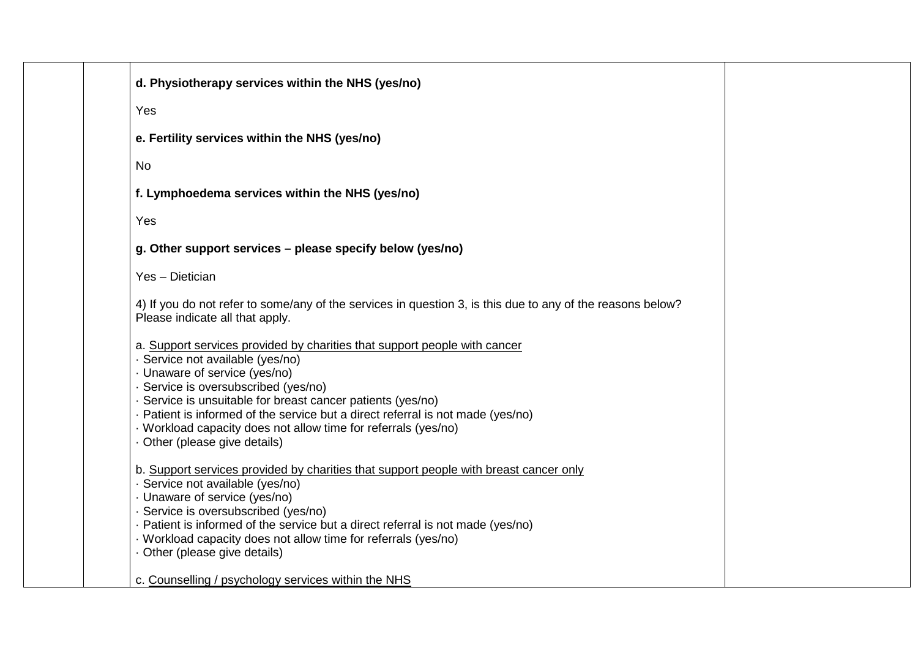| d. Physiotherapy services within the NHS (yes/no)                                                                                                                                                                                                                                                                                                                                                                                               |
|-------------------------------------------------------------------------------------------------------------------------------------------------------------------------------------------------------------------------------------------------------------------------------------------------------------------------------------------------------------------------------------------------------------------------------------------------|
| Yes                                                                                                                                                                                                                                                                                                                                                                                                                                             |
| e. Fertility services within the NHS (yes/no)                                                                                                                                                                                                                                                                                                                                                                                                   |
| <b>No</b>                                                                                                                                                                                                                                                                                                                                                                                                                                       |
| f. Lymphoedema services within the NHS (yes/no)                                                                                                                                                                                                                                                                                                                                                                                                 |
| Yes                                                                                                                                                                                                                                                                                                                                                                                                                                             |
| g. Other support services - please specify below (yes/no)                                                                                                                                                                                                                                                                                                                                                                                       |
| Yes - Dietician                                                                                                                                                                                                                                                                                                                                                                                                                                 |
| 4) If you do not refer to some/any of the services in question 3, is this due to any of the reasons below?<br>Please indicate all that apply.                                                                                                                                                                                                                                                                                                   |
| a. Support services provided by charities that support people with cancer<br>· Service not available (yes/no)<br>· Unaware of service (yes/no)<br>· Service is oversubscribed (yes/no)<br>· Service is unsuitable for breast cancer patients (yes/no)<br>. Patient is informed of the service but a direct referral is not made (yes/no)<br>· Workload capacity does not allow time for referrals (yes/no)<br>· Other (please give details)     |
| b. Support services provided by charities that support people with breast cancer only<br>· Service not available (yes/no)<br>· Unaware of service (yes/no)<br>· Service is oversubscribed (yes/no)<br>. Patient is informed of the service but a direct referral is not made (yes/no)<br>· Workload capacity does not allow time for referrals (yes/no)<br>· Other (please give details)<br>c. Counselling / psychology services within the NHS |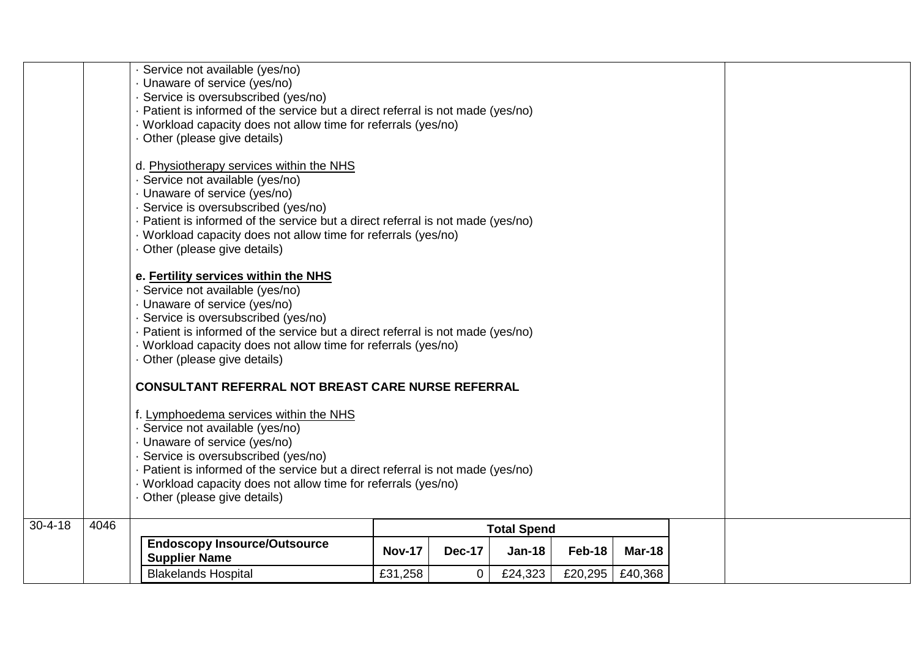|               |                            | Service not available (yes/no)<br>Unaware of service (yes/no)<br>· Service is oversubscribed (yes/no)<br>Patient is informed of the service but a direct referral is not made (yes/no)<br>· Workload capacity does not allow time for referrals (yes/no)<br>· Other (please give details)<br>d. Physiotherapy services within the NHS<br>Service not available (yes/no)<br>· Unaware of service (yes/no)<br>· Service is oversubscribed (yes/no)<br>Patient is informed of the service but a direct referral is not made (yes/no)<br>· Workload capacity does not allow time for referrals (yes/no)<br>· Other (please give details)<br>e. Fertility services within the NHS<br>· Service not available (yes/no)<br>· Unaware of service (yes/no)<br>· Service is oversubscribed (yes/no)<br>Patient is informed of the service but a direct referral is not made (yes/no)<br>· Workload capacity does not allow time for referrals (yes/no)<br>· Other (please give details)<br><b>CONSULTANT REFERRAL NOT BREAST CARE NURSE REFERRAL</b><br>f. Lymphoedema services within the NHS<br>Service not available (yes/no)<br>Unaware of service (yes/no)<br>Service is oversubscribed (yes/no)<br>Patient is informed of the service but a direct referral is not made (yes/no)<br>· Workload capacity does not allow time for referrals (yes/no)<br>Other (please give details) |               |               |          |         |         |  |  |
|---------------|----------------------------|-------------------------------------------------------------------------------------------------------------------------------------------------------------------------------------------------------------------------------------------------------------------------------------------------------------------------------------------------------------------------------------------------------------------------------------------------------------------------------------------------------------------------------------------------------------------------------------------------------------------------------------------------------------------------------------------------------------------------------------------------------------------------------------------------------------------------------------------------------------------------------------------------------------------------------------------------------------------------------------------------------------------------------------------------------------------------------------------------------------------------------------------------------------------------------------------------------------------------------------------------------------------------------------------------------------------------------------------------------------------------------|---------------|---------------|----------|---------|---------|--|--|
| $30 - 4 - 18$ | 4046<br><b>Total Spend</b> |                                                                                                                                                                                                                                                                                                                                                                                                                                                                                                                                                                                                                                                                                                                                                                                                                                                                                                                                                                                                                                                                                                                                                                                                                                                                                                                                                                               |               |               |          |         |         |  |  |
|               |                            | <b>Endoscopy Insource/Outsource</b><br><b>Supplier Name</b>                                                                                                                                                                                                                                                                                                                                                                                                                                                                                                                                                                                                                                                                                                                                                                                                                                                                                                                                                                                                                                                                                                                                                                                                                                                                                                                   | <b>Nov-17</b> | <b>Dec-17</b> | $Jan-18$ | Feb-18  | Mar-18  |  |  |
|               |                            | <b>Blakelands Hospital</b>                                                                                                                                                                                                                                                                                                                                                                                                                                                                                                                                                                                                                                                                                                                                                                                                                                                                                                                                                                                                                                                                                                                                                                                                                                                                                                                                                    | £31,258       | $\mathbf 0$   | £24,323  | £20,295 | £40,368 |  |  |